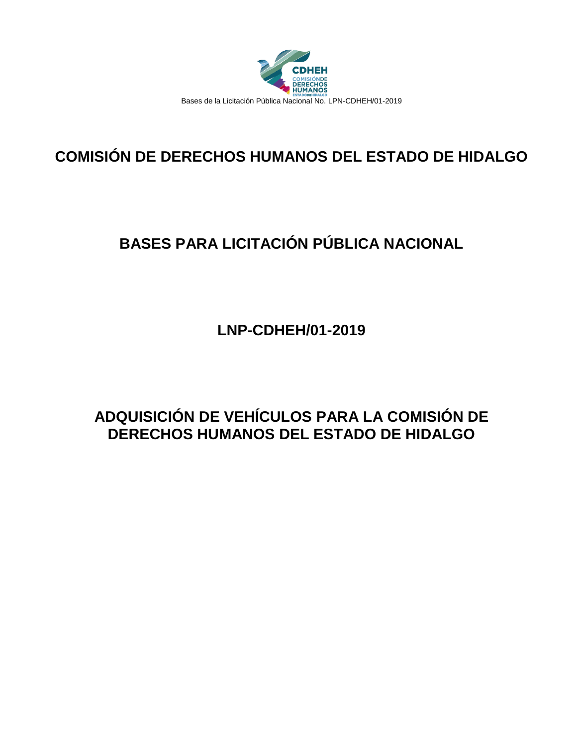

# **COMISIÓN DE DERECHOS HUMANOS DEL ESTADO DE HIDALGO**

# **BASES PARA LICITACIÓN PÚBLICA NACIONAL**

**LNP-CDHEH/01-2019**

# **ADQUISICIÓN DE VEHÍCULOS PARA LA COMISIÓN DE DERECHOS HUMANOS DEL ESTADO DE HIDALGO**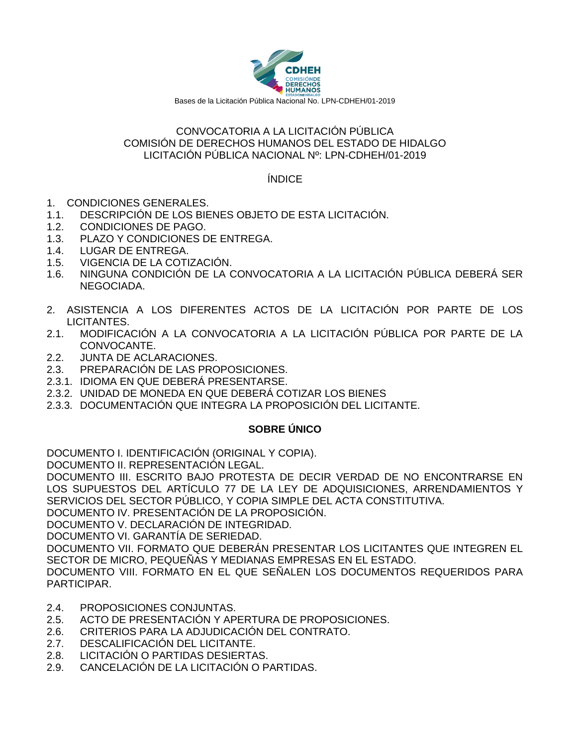

#### CONVOCATORIA A LA LICITACIÓN PÚBLICA COMISIÓN DE DERECHOS HUMANOS DEL ESTADO DE HIDALGO LICITACIÓN PÚBLICA NACIONAL Nº: LPN-CDHEH/01-2019

ÍNDICE

- 1. CONDICIONES GENERALES.
- 1.1. DESCRIPCIÓN DE LOS BIENES OBJETO DE ESTA LICITACIÓN.
- 1.2. CONDICIONES DE PAGO.
- 1.3. PLAZO Y CONDICIONES DE ENTREGA.
- 1.4. LUGAR DE ENTREGA.
- 1.5. VIGENCIA DE LA COTIZACIÓN.
- 1.6. NINGUNA CONDICIÓN DE LA CONVOCATORIA A LA LICITACIÓN PÚBLICA DEBERÁ SER NEGOCIADA.
- 2. ASISTENCIA A LOS DIFERENTES ACTOS DE LA LICITACIÓN POR PARTE DE LOS LICITANTES.
- 2.1. MODIFICACIÓN A LA CONVOCATORIA A LA LICITACIÓN PÚBLICA POR PARTE DE LA CONVOCANTE.
- 2.2. JUNTA DE ACLARACIONES.
- 2.3. PREPARACIÓN DE LAS PROPOSICIONES.
- 2.3.1. IDIOMA EN QUE DEBERÁ PRESENTARSE.
- 2.3.2. UNIDAD DE MONEDA EN QUE DEBERÁ COTIZAR LOS BIENES
- 2.3.3. DOCUMENTACIÓN QUE INTEGRA LA PROPOSICIÓN DEL LICITANTE.

## **SOBRE ÚNICO**

DOCUMENTO I. IDENTIFICACIÓN (ORIGINAL Y COPIA).

DOCUMENTO II. REPRESENTACIÓN LEGAL.

DOCUMENTO III. ESCRITO BAJO PROTESTA DE DECIR VERDAD DE NO ENCONTRARSE EN LOS SUPUESTOS DEL ARTÍCULO 77 DE LA LEY DE ADQUISICIONES, ARRENDAMIENTOS Y SERVICIOS DEL SECTOR PÚBLICO, Y COPIA SIMPLE DEL ACTA CONSTITUTIVA.

DOCUMENTO IV. PRESENTACIÓN DE LA PROPOSICIÓN.

DOCUMENTO V. DECLARACIÓN DE INTEGRIDAD.

DOCUMENTO VI. GARANTÍA DE SERIEDAD.

DOCUMENTO VII. FORMATO QUE DEBERÁN PRESENTAR LOS LICITANTES QUE INTEGREN EL SECTOR DE MICRO, PEQUEÑAS Y MEDIANAS EMPRESAS EN EL ESTADO.

DOCUMENTO VIII. FORMATO EN EL QUE SEÑALEN LOS DOCUMENTOS REQUERIDOS PARA PARTICIPAR.

- 2.4. PROPOSICIONES CONJUNTAS.
- 2.5. ACTO DE PRESENTACIÓN Y APERTURA DE PROPOSICIONES.
- 2.6. CRITERIOS PARA LA ADJUDICACIÓN DEL CONTRATO.
- 2.7. DESCALIFICACIÓN DEL LICITANTE.
- 2.8. LICITACIÓN O PARTIDAS DESIERTAS.
- 2.9. CANCELACIÓN DE LA LICITACIÓN O PARTIDAS.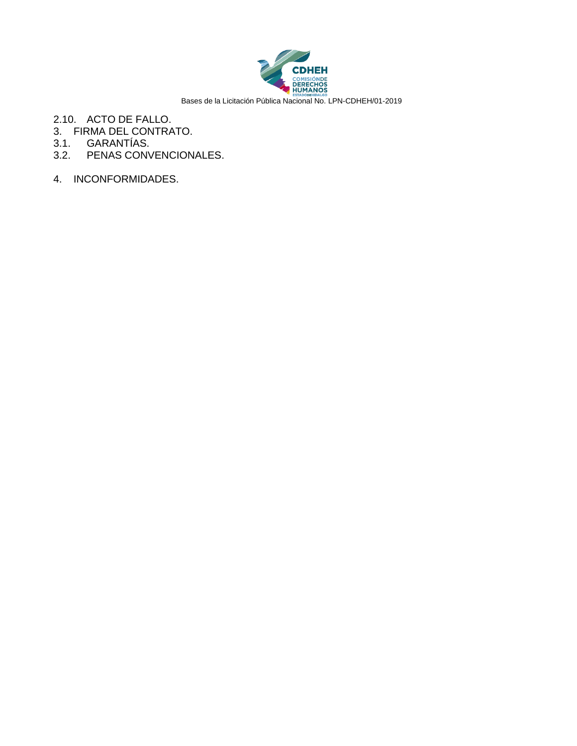

- 2.10. ACTO DE FALLO.
- 3. FIRMA DEL CONTRATO.
- 3.1. GARANTÍAS.
- 3.2. PENAS CONVENCIONALES.
- 4. INCONFORMIDADES.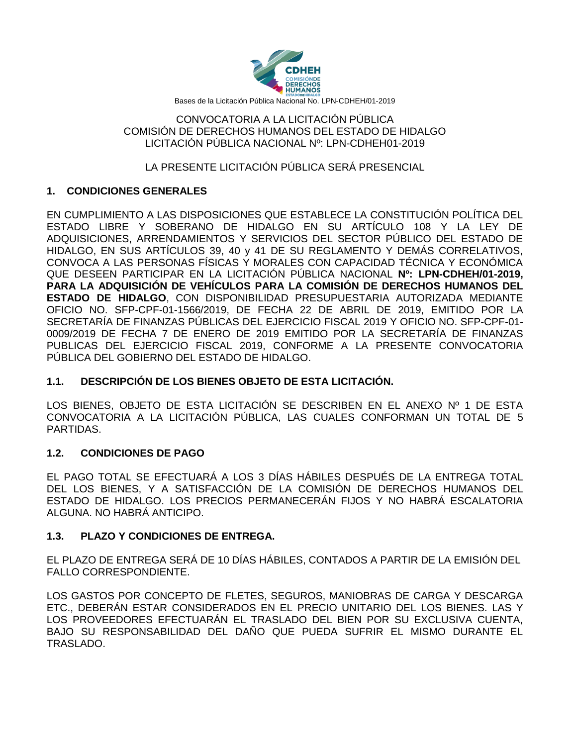

#### CONVOCATORIA A LA LICITACIÓN PÚBLICA COMISIÓN DE DERECHOS HUMANOS DEL ESTADO DE HIDALGO LICITACIÓN PÚBLICA NACIONAL Nº: LPN-CDHEH01-2019

## LA PRESENTE LICITACIÓN PÚBLICA SERÁ PRESENCIAL

## **1. CONDICIONES GENERALES**

EN CUMPLIMIENTO A LAS DISPOSICIONES QUE ESTABLECE LA CONSTITUCIÓN POLÍTICA DEL ESTADO LIBRE Y SOBERANO DE HIDALGO EN SU ARTÍCULO 108 Y LA LEY DE ADQUISICIONES, ARRENDAMIENTOS Y SERVICIOS DEL SECTOR PÚBLICO DEL ESTADO DE HIDALGO, EN SUS ARTÍCULOS 39, 40 y 41 DE SU REGLAMENTO Y DEMÁS CORRELATIVOS, CONVOCA A LAS PERSONAS FÍSICAS Y MORALES CON CAPACIDAD TÉCNICA Y ECONÓMICA QUE DESEEN PARTICIPAR EN LA LICITACIÓN PÚBLICA NACIONAL **Nº: LPN-CDHEH/01-2019, PARA LA ADQUISICIÓN DE VEHÍCULOS PARA LA COMISIÓN DE DERECHOS HUMANOS DEL ESTADO DE HIDALGO**, CON DISPONIBILIDAD PRESUPUESTARIA AUTORIZADA MEDIANTE OFICIO NO. SFP-CPF-01-1566/2019, DE FECHA 22 DE ABRIL DE 2019, EMITIDO POR LA SECRETARÍA DE FINANZAS PÚBLICAS DEL EJERCICIO FISCAL 2019 Y OFICIO NO. SFP-CPF-01- 0009/2019 DE FECHA 7 DE ENERO DE 2019 EMITIDO POR LA SECRETARÍA DE FINANZAS PUBLICAS DEL EJERCICIO FISCAL 2019, CONFORME A LA PRESENTE CONVOCATORIA PÚBLICA DEL GOBIERNO DEL ESTADO DE HIDALGO.

## **1.1. DESCRIPCIÓN DE LOS BIENES OBJETO DE ESTA LICITACIÓN.**

LOS BIENES, OBJETO DE ESTA LICITACIÓN SE DESCRIBEN EN EL ANEXO Nº 1 DE ESTA CONVOCATORIA A LA LICITACIÓN PÚBLICA, LAS CUALES CONFORMAN UN TOTAL DE 5 PARTIDAS.

#### **1.2. CONDICIONES DE PAGO**

EL PAGO TOTAL SE EFECTUARÁ A LOS 3 DÍAS HÁBILES DESPUÉS DE LA ENTREGA TOTAL DEL LOS BIENES, Y A SATISFACCIÓN DE LA COMISIÓN DE DERECHOS HUMANOS DEL ESTADO DE HIDALGO. LOS PRECIOS PERMANECERÁN FIJOS Y NO HABRÁ ESCALATORIA ALGUNA. NO HABRÁ ANTICIPO.

#### **1.3. PLAZO Y CONDICIONES DE ENTREGA.**

EL PLAZO DE ENTREGA SERÁ DE 10 DÍAS HÁBILES, CONTADOS A PARTIR DE LA EMISIÓN DEL FALLO CORRESPONDIENTE.

LOS GASTOS POR CONCEPTO DE FLETES, SEGUROS, MANIOBRAS DE CARGA Y DESCARGA ETC., DEBERÁN ESTAR CONSIDERADOS EN EL PRECIO UNITARIO DEL LOS BIENES. LAS Y LOS PROVEEDORES EFECTUARÁN EL TRASLADO DEL BIEN POR SU EXCLUSIVA CUENTA, BAJO SU RESPONSABILIDAD DEL DAÑO QUE PUEDA SUFRIR EL MISMO DURANTE EL TRASLADO.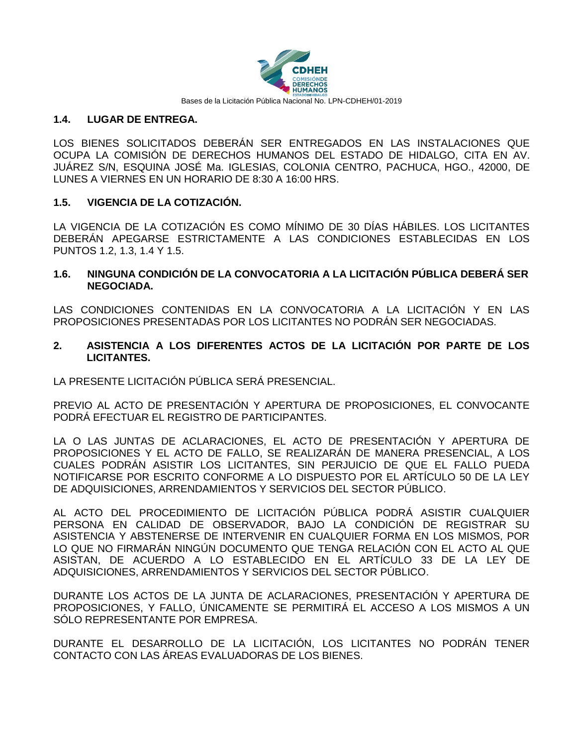

#### **1.4. LUGAR DE ENTREGA.**

LOS BIENES SOLICITADOS DEBERÁN SER ENTREGADOS EN LAS INSTALACIONES QUE OCUPA LA COMISIÓN DE DERECHOS HUMANOS DEL ESTADO DE HIDALGO, CITA EN AV. JUÁREZ S/N, ESQUINA JOSÉ Ma. IGLESIAS, COLONIA CENTRO, PACHUCA, HGO., 42000, DE LUNES A VIERNES EN UN HORARIO DE 8:30 A 16:00 HRS.

#### **1.5. VIGENCIA DE LA COTIZACIÓN.**

LA VIGENCIA DE LA COTIZACIÓN ES COMO MÍNIMO DE 30 DÍAS HÁBILES. LOS LICITANTES DEBERÁN APEGARSE ESTRICTAMENTE A LAS CONDICIONES ESTABLECIDAS EN LOS PUNTOS 1.2, 1.3, 1.4 Y 1.5.

#### **1.6. NINGUNA CONDICIÓN DE LA CONVOCATORIA A LA LICITACIÓN PÚBLICA DEBERÁ SER NEGOCIADA.**

LAS CONDICIONES CONTENIDAS EN LA CONVOCATORIA A LA LICITACIÓN Y EN LAS PROPOSICIONES PRESENTADAS POR LOS LICITANTES NO PODRÁN SER NEGOCIADAS.

#### **2. ASISTENCIA A LOS DIFERENTES ACTOS DE LA LICITACIÓN POR PARTE DE LOS LICITANTES.**

LA PRESENTE LICITACIÓN PÚBLICA SERÁ PRESENCIAL.

PREVIO AL ACTO DE PRESENTACIÓN Y APERTURA DE PROPOSICIONES, EL CONVOCANTE PODRÁ EFECTUAR EL REGISTRO DE PARTICIPANTES.

LA O LAS JUNTAS DE ACLARACIONES, EL ACTO DE PRESENTACIÓN Y APERTURA DE PROPOSICIONES Y EL ACTO DE FALLO, SE REALIZARÁN DE MANERA PRESENCIAL, A LOS CUALES PODRÁN ASISTIR LOS LICITANTES, SIN PERJUICIO DE QUE EL FALLO PUEDA NOTIFICARSE POR ESCRITO CONFORME A LO DISPUESTO POR EL ARTÍCULO 50 DE LA LEY DE ADQUISICIONES, ARRENDAMIENTOS Y SERVICIOS DEL SECTOR PÚBLICO.

AL ACTO DEL PROCEDIMIENTO DE LICITACIÓN PÚBLICA PODRÁ ASISTIR CUALQUIER PERSONA EN CALIDAD DE OBSERVADOR, BAJO LA CONDICIÓN DE REGISTRAR SU ASISTENCIA Y ABSTENERSE DE INTERVENIR EN CUALQUIER FORMA EN LOS MISMOS, POR LO QUE NO FIRMARÁN NINGÚN DOCUMENTO QUE TENGA RELACIÓN CON EL ACTO AL QUE ASISTAN, DE ACUERDO A LO ESTABLECIDO EN EL ARTÍCULO 33 DE LA LEY DE ADQUISICIONES, ARRENDAMIENTOS Y SERVICIOS DEL SECTOR PÚBLICO.

DURANTE LOS ACTOS DE LA JUNTA DE ACLARACIONES, PRESENTACIÓN Y APERTURA DE PROPOSICIONES, Y FALLO, ÚNICAMENTE SE PERMITIRÁ EL ACCESO A LOS MISMOS A UN SÓLO REPRESENTANTE POR EMPRESA.

DURANTE EL DESARROLLO DE LA LICITACIÓN, LOS LICITANTES NO PODRÁN TENER CONTACTO CON LAS ÁREAS EVALUADORAS DE LOS BIENES.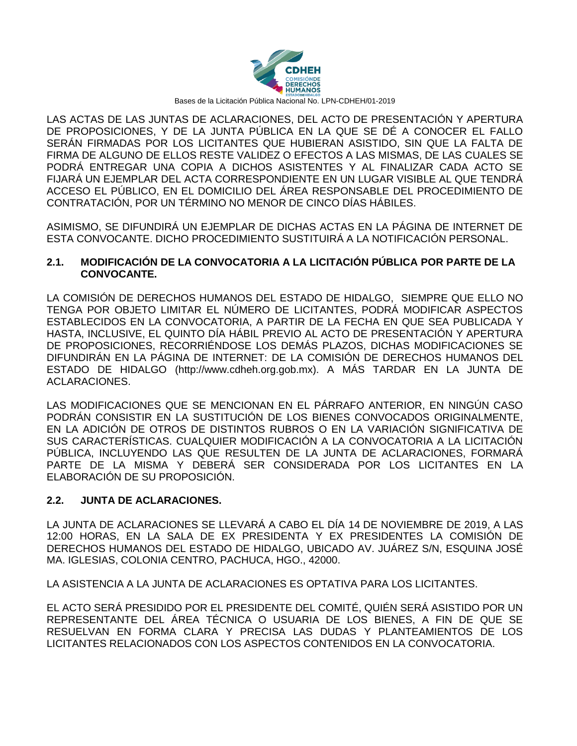

LAS ACTAS DE LAS JUNTAS DE ACLARACIONES, DEL ACTO DE PRESENTACIÓN Y APERTURA DE PROPOSICIONES, Y DE LA JUNTA PÚBLICA EN LA QUE SE DÉ A CONOCER EL FALLO SERÁN FIRMADAS POR LOS LICITANTES QUE HUBIERAN ASISTIDO, SIN QUE LA FALTA DE FIRMA DE ALGUNO DE ELLOS RESTE VALIDEZ O EFECTOS A LAS MISMAS, DE LAS CUALES SE PODRÁ ENTREGAR UNA COPIA A DICHOS ASISTENTES Y AL FINALIZAR CADA ACTO SE FIJARÁ UN EJEMPLAR DEL ACTA CORRESPONDIENTE EN UN LUGAR VISIBLE AL QUE TENDRÁ ACCESO EL PÚBLICO, EN EL DOMICILIO DEL ÁREA RESPONSABLE DEL PROCEDIMIENTO DE CONTRATACIÓN, POR UN TÉRMINO NO MENOR DE CINCO DÍAS HÁBILES.

ASIMISMO, SE DIFUNDIRÁ UN EJEMPLAR DE DICHAS ACTAS EN LA PÁGINA DE INTERNET DE ESTA CONVOCANTE. DICHO PROCEDIMIENTO SUSTITUIRÁ A LA NOTIFICACIÓN PERSONAL.

#### **2.1. MODIFICACIÓN DE LA CONVOCATORIA A LA LICITACIÓN PÚBLICA POR PARTE DE LA CONVOCANTE.**

LA COMISIÓN DE DERECHOS HUMANOS DEL ESTADO DE HIDALGO, SIEMPRE QUE ELLO NO TENGA POR OBJETO LIMITAR EL NÚMERO DE LICITANTES, PODRÁ MODIFICAR ASPECTOS ESTABLECIDOS EN LA CONVOCATORIA, A PARTIR DE LA FECHA EN QUE SEA PUBLICADA Y HASTA, INCLUSIVE, EL QUINTO DÍA HÁBIL PREVIO AL ACTO DE PRESENTACIÓN Y APERTURA DE PROPOSICIONES, RECORRIÉNDOSE LOS DEMÁS PLAZOS, DICHAS MODIFICACIONES SE DIFUNDIRÁN EN LA PÁGINA DE INTERNET: DE LA COMISIÓN DE DERECHOS HUMANOS DEL ESTADO DE HIDALGO (http://www.cdheh.org.gob.mx). A MÁS TARDAR EN LA JUNTA DE ACLARACIONES.

LAS MODIFICACIONES QUE SE MENCIONAN EN EL PÁRRAFO ANTERIOR, EN NINGÚN CASO PODRÁN CONSISTIR EN LA SUSTITUCIÓN DE LOS BIENES CONVOCADOS ORIGINALMENTE, EN LA ADICIÓN DE OTROS DE DISTINTOS RUBROS O EN LA VARIACIÓN SIGNIFICATIVA DE SUS CARACTERÍSTICAS. CUALQUIER MODIFICACIÓN A LA CONVOCATORIA A LA LICITACIÓN PÚBLICA, INCLUYENDO LAS QUE RESULTEN DE LA JUNTA DE ACLARACIONES, FORMARÁ PARTE DE LA MISMA Y DEBERÁ SER CONSIDERADA POR LOS LICITANTES EN LA ELABORACIÓN DE SU PROPOSICIÓN.

#### **2.2. JUNTA DE ACLARACIONES.**

LA JUNTA DE ACLARACIONES SE LLEVARÁ A CABO EL DÍA 14 DE NOVIEMBRE DE 2019, A LAS 12:00 HORAS, EN LA SALA DE EX PRESIDENTA Y EX PRESIDENTES LA COMISIÓN DE DERECHOS HUMANOS DEL ESTADO DE HIDALGO, UBICADO AV. JUÁREZ S/N, ESQUINA JOSÉ MA. IGLESIAS, COLONIA CENTRO, PACHUCA, HGO., 42000.

LA ASISTENCIA A LA JUNTA DE ACLARACIONES ES OPTATIVA PARA LOS LICITANTES.

EL ACTO SERÁ PRESIDIDO POR EL PRESIDENTE DEL COMITÉ, QUIÉN SERÁ ASISTIDO POR UN REPRESENTANTE DEL ÁREA TÉCNICA O USUARIA DE LOS BIENES, A FIN DE QUE SE RESUELVAN EN FORMA CLARA Y PRECISA LAS DUDAS Y PLANTEAMIENTOS DE LOS LICITANTES RELACIONADOS CON LOS ASPECTOS CONTENIDOS EN LA CONVOCATORIA.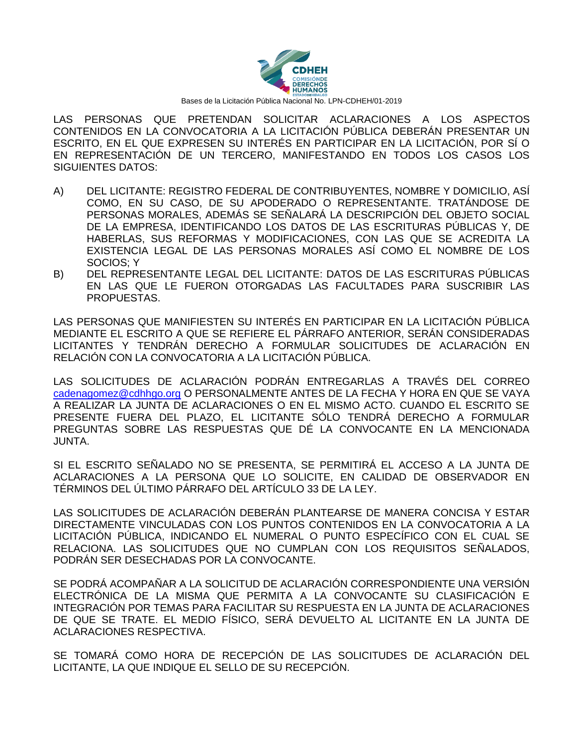

LAS PERSONAS QUE PRETENDAN SOLICITAR ACLARACIONES A LOS ASPECTOS CONTENIDOS EN LA CONVOCATORIA A LA LICITACIÓN PÚBLICA DEBERÁN PRESENTAR UN ESCRITO, EN EL QUE EXPRESEN SU INTERÉS EN PARTICIPAR EN LA LICITACIÓN, POR SÍ O EN REPRESENTACIÓN DE UN TERCERO, MANIFESTANDO EN TODOS LOS CASOS LOS SIGUIENTES DATOS:

- A) DEL LICITANTE: REGISTRO FEDERAL DE CONTRIBUYENTES, NOMBRE Y DOMICILIO, ASÍ COMO, EN SU CASO, DE SU APODERADO O REPRESENTANTE. TRATÁNDOSE DE PERSONAS MORALES, ADEMÁS SE SEÑALARÁ LA DESCRIPCIÓN DEL OBJETO SOCIAL DE LA EMPRESA, IDENTIFICANDO LOS DATOS DE LAS ESCRITURAS PÚBLICAS Y, DE HABERLAS, SUS REFORMAS Y MODIFICACIONES, CON LAS QUE SE ACREDITA LA EXISTENCIA LEGAL DE LAS PERSONAS MORALES ASÍ COMO EL NOMBRE DE LOS SOCIOS; Y
- B) DEL REPRESENTANTE LEGAL DEL LICITANTE: DATOS DE LAS ESCRITURAS PÚBLICAS EN LAS QUE LE FUERON OTORGADAS LAS FACULTADES PARA SUSCRIBIR LAS PROPUESTAS.

LAS PERSONAS QUE MANIFIESTEN SU INTERÉS EN PARTICIPAR EN LA LICITACIÓN PÚBLICA MEDIANTE EL ESCRITO A QUE SE REFIERE EL PÁRRAFO ANTERIOR, SERÁN CONSIDERADAS LICITANTES Y TENDRÁN DERECHO A FORMULAR SOLICITUDES DE ACLARACIÓN EN RELACIÓN CON LA CONVOCATORIA A LA LICITACIÓN PÚBLICA.

LAS SOLICITUDES DE ACLARACIÓN PODRÁN ENTREGARLAS A TRAVÉS DEL CORREO [cadenagomez@cdhhgo.org](mailto:cadenagomez@cdhhgo.org) O PERSONALMENTE ANTES DE LA FECHA Y HORA EN QUE SE VAYA A REALIZAR LA JUNTA DE ACLARACIONES O EN EL MISMO ACTO. CUANDO EL ESCRITO SE PRESENTE FUERA DEL PLAZO, EL LICITANTE SÓLO TENDRÁ DERECHO A FORMULAR PREGUNTAS SOBRE LAS RESPUESTAS QUE DÉ LA CONVOCANTE EN LA MENCIONADA JUNTA.

SI EL ESCRITO SEÑALADO NO SE PRESENTA, SE PERMITIRÁ EL ACCESO A LA JUNTA DE ACLARACIONES A LA PERSONA QUE LO SOLICITE, EN CALIDAD DE OBSERVADOR EN TÉRMINOS DEL ÚLTIMO PÁRRAFO DEL ARTÍCULO 33 DE LA LEY.

LAS SOLICITUDES DE ACLARACIÓN DEBERÁN PLANTEARSE DE MANERA CONCISA Y ESTAR DIRECTAMENTE VINCULADAS CON LOS PUNTOS CONTENIDOS EN LA CONVOCATORIA A LA LICITACIÓN PÚBLICA, INDICANDO EL NUMERAL O PUNTO ESPECÍFICO CON EL CUAL SE RELACIONA. LAS SOLICITUDES QUE NO CUMPLAN CON LOS REQUISITOS SEÑALADOS, PODRÁN SER DESECHADAS POR LA CONVOCANTE.

SE PODRÁ ACOMPAÑAR A LA SOLICITUD DE ACLARACIÓN CORRESPONDIENTE UNA VERSIÓN ELECTRÓNICA DE LA MISMA QUE PERMITA A LA CONVOCANTE SU CLASIFICACIÓN E INTEGRACIÓN POR TEMAS PARA FACILITAR SU RESPUESTA EN LA JUNTA DE ACLARACIONES DE QUE SE TRATE. EL MEDIO FÍSICO, SERÁ DEVUELTO AL LICITANTE EN LA JUNTA DE ACLARACIONES RESPECTIVA.

SE TOMARÁ COMO HORA DE RECEPCIÓN DE LAS SOLICITUDES DE ACLARACIÓN DEL LICITANTE, LA QUE INDIQUE EL SELLO DE SU RECEPCIÓN.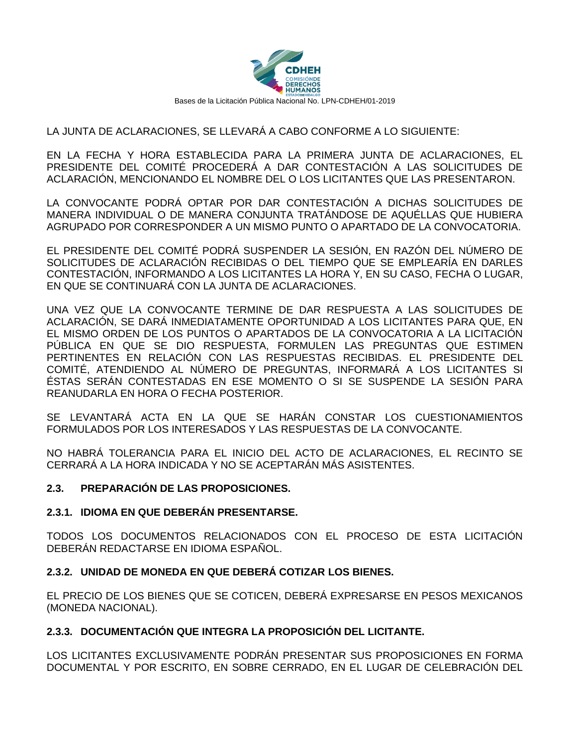

### LA JUNTA DE ACLARACIONES, SE LLEVARÁ A CABO CONFORME A LO SIGUIENTE:

EN LA FECHA Y HORA ESTABLECIDA PARA LA PRIMERA JUNTA DE ACLARACIONES, EL PRESIDENTE DEL COMITÉ PROCEDERÁ A DAR CONTESTACIÓN A LAS SOLICITUDES DE ACLARACIÓN, MENCIONANDO EL NOMBRE DEL O LOS LICITANTES QUE LAS PRESENTARON.

LA CONVOCANTE PODRÁ OPTAR POR DAR CONTESTACIÓN A DICHAS SOLICITUDES DE MANERA INDIVIDUAL O DE MANERA CONJUNTA TRATÁNDOSE DE AQUÉLLAS QUE HUBIERA AGRUPADO POR CORRESPONDER A UN MISMO PUNTO O APARTADO DE LA CONVOCATORIA.

EL PRESIDENTE DEL COMITÉ PODRÁ SUSPENDER LA SESIÓN, EN RAZÓN DEL NÚMERO DE SOLICITUDES DE ACLARACIÓN RECIBIDAS O DEL TIEMPO QUE SE EMPLEARÍA EN DARLES CONTESTACIÓN, INFORMANDO A LOS LICITANTES LA HORA Y, EN SU CASO, FECHA O LUGAR, EN QUE SE CONTINUARÁ CON LA JUNTA DE ACLARACIONES.

UNA VEZ QUE LA CONVOCANTE TERMINE DE DAR RESPUESTA A LAS SOLICITUDES DE ACLARACIÓN, SE DARÁ INMEDIATAMENTE OPORTUNIDAD A LOS LICITANTES PARA QUE, EN EL MISMO ORDEN DE LOS PUNTOS O APARTADOS DE LA CONVOCATORIA A LA LICITACIÓN PÚBLICA EN QUE SE DIO RESPUESTA, FORMULEN LAS PREGUNTAS QUE ESTIMEN PERTINENTES EN RELACIÓN CON LAS RESPUESTAS RECIBIDAS. EL PRESIDENTE DEL COMITÉ, ATENDIENDO AL NÚMERO DE PREGUNTAS, INFORMARÁ A LOS LICITANTES SI ÉSTAS SERÁN CONTESTADAS EN ESE MOMENTO O SI SE SUSPENDE LA SESIÓN PARA REANUDARLA EN HORA O FECHA POSTERIOR.

SE LEVANTARÁ ACTA EN LA QUE SE HARÁN CONSTAR LOS CUESTIONAMIENTOS FORMULADOS POR LOS INTERESADOS Y LAS RESPUESTAS DE LA CONVOCANTE.

NO HABRÁ TOLERANCIA PARA EL INICIO DEL ACTO DE ACLARACIONES, EL RECINTO SE CERRARÁ A LA HORA INDICADA Y NO SE ACEPTARÁN MÁS ASISTENTES.

#### **2.3. PREPARACIÓN DE LAS PROPOSICIONES.**

#### **2.3.1. IDIOMA EN QUE DEBERÁN PRESENTARSE.**

TODOS LOS DOCUMENTOS RELACIONADOS CON EL PROCESO DE ESTA LICITACIÓN DEBERÁN REDACTARSE EN IDIOMA ESPAÑOL.

#### **2.3.2. UNIDAD DE MONEDA EN QUE DEBERÁ COTIZAR LOS BIENES.**

EL PRECIO DE LOS BIENES QUE SE COTICEN, DEBERÁ EXPRESARSE EN PESOS MEXICANOS (MONEDA NACIONAL).

#### **2.3.3. DOCUMENTACIÓN QUE INTEGRA LA PROPOSICIÓN DEL LICITANTE.**

LOS LICITANTES EXCLUSIVAMENTE PODRÁN PRESENTAR SUS PROPOSICIONES EN FORMA DOCUMENTAL Y POR ESCRITO, EN SOBRE CERRADO, EN EL LUGAR DE CELEBRACIÓN DEL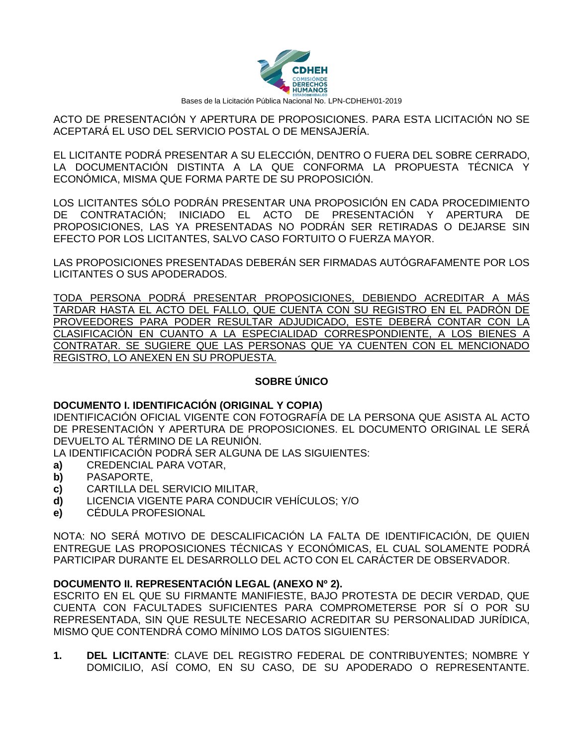

ACTO DE PRESENTACIÓN Y APERTURA DE PROPOSICIONES. PARA ESTA LICITACIÓN NO SE ACEPTARÁ EL USO DEL SERVICIO POSTAL O DE MENSAJERÍA.

EL LICITANTE PODRÁ PRESENTAR A SU ELECCIÓN, DENTRO O FUERA DEL SOBRE CERRADO, LA DOCUMENTACIÓN DISTINTA A LA QUE CONFORMA LA PROPUESTA TÉCNICA Y ECONÓMICA, MISMA QUE FORMA PARTE DE SU PROPOSICIÓN.

LOS LICITANTES SÓLO PODRÁN PRESENTAR UNA PROPOSICIÓN EN CADA PROCEDIMIENTO DE CONTRATACIÓN; INICIADO EL ACTO DE PRESENTACIÓN Y APERTURA DE PROPOSICIONES, LAS YA PRESENTADAS NO PODRÁN SER RETIRADAS O DEJARSE SIN EFECTO POR LOS LICITANTES, SALVO CASO FORTUITO O FUERZA MAYOR.

LAS PROPOSICIONES PRESENTADAS DEBERÁN SER FIRMADAS AUTÓGRAFAMENTE POR LOS LICITANTES O SUS APODERADOS.

TODA PERSONA PODRÁ PRESENTAR PROPOSICIONES, DEBIENDO ACREDITAR A MÁS TARDAR HASTA EL ACTO DEL FALLO, QUE CUENTA CON SU REGISTRO EN EL PADRÓN DE PROVEEDORES PARA PODER RESULTAR ADJUDICADO, ESTE DEBERÁ CONTAR CON LA CLASIFICACIÓN EN CUANTO A LA ESPECIALIDAD CORRESPONDIENTE, A LOS BIENES A CONTRATAR. SE SUGIERE QUE LAS PERSONAS QUE YA CUENTEN CON EL MENCIONADO REGISTRO, LO ANEXEN EN SU PROPUESTA.

## **SOBRE ÚNICO**

## **DOCUMENTO I. IDENTIFICACIÓN (ORIGINAL Y COPIA)**

IDENTIFICACIÓN OFICIAL VIGENTE CON FOTOGRAFÍA DE LA PERSONA QUE ASISTA AL ACTO DE PRESENTACIÓN Y APERTURA DE PROPOSICIONES. EL DOCUMENTO ORIGINAL LE SERÁ DEVUELTO AL TÉRMINO DE LA REUNIÓN.

LA IDENTIFICACIÓN PODRÁ SER ALGUNA DE LAS SIGUIENTES:

- **a)** CREDENCIAL PARA VOTAR,
- **b)** PASAPORTE,
- **c)** CARTILLA DEL SERVICIO MILITAR,
- **d)** LICENCIA VIGENTE PARA CONDUCIR VEHÍCULOS; Y/O
- **e)** CÉDULA PROFESIONAL

NOTA: NO SERÁ MOTIVO DE DESCALIFICACIÓN LA FALTA DE IDENTIFICACIÓN, DE QUIEN ENTREGUE LAS PROPOSICIONES TÉCNICAS Y ECONÓMICAS, EL CUAL SOLAMENTE PODRÁ PARTICIPAR DURANTE EL DESARROLLO DEL ACTO CON EL CARÁCTER DE OBSERVADOR.

#### **DOCUMENTO II. REPRESENTACIÓN LEGAL (ANEXO Nº 2).**

ESCRITO EN EL QUE SU FIRMANTE MANIFIESTE, BAJO PROTESTA DE DECIR VERDAD, QUE CUENTA CON FACULTADES SUFICIENTES PARA COMPROMETERSE POR SÍ O POR SU REPRESENTADA, SIN QUE RESULTE NECESARIO ACREDITAR SU PERSONALIDAD JURÍDICA, MISMO QUE CONTENDRÁ COMO MÍNIMO LOS DATOS SIGUIENTES:

**1. DEL LICITANTE**: CLAVE DEL REGISTRO FEDERAL DE CONTRIBUYENTES; NOMBRE Y DOMICILIO, ASÍ COMO, EN SU CASO, DE SU APODERADO O REPRESENTANTE.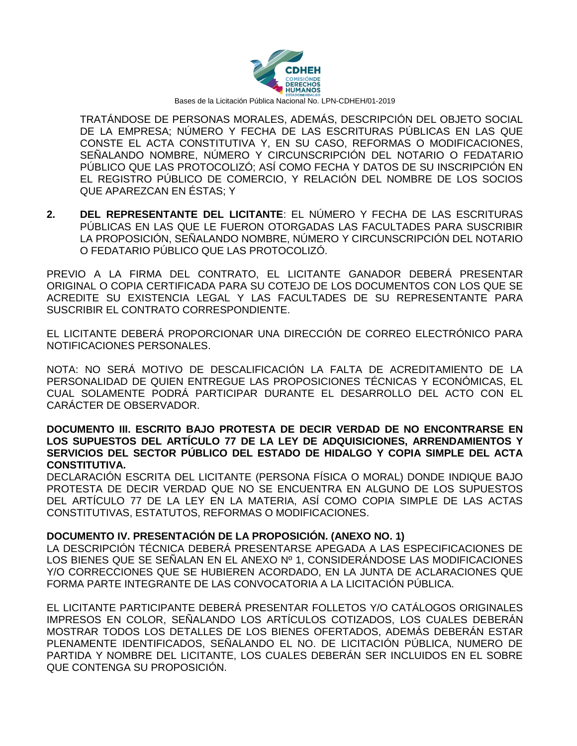

TRATÁNDOSE DE PERSONAS MORALES, ADEMÁS, DESCRIPCIÓN DEL OBJETO SOCIAL DE LA EMPRESA; NÚMERO Y FECHA DE LAS ESCRITURAS PÚBLICAS EN LAS QUE CONSTE EL ACTA CONSTITUTIVA Y, EN SU CASO, REFORMAS O MODIFICACIONES, SEÑALANDO NOMBRE, NÚMERO Y CIRCUNSCRIPCIÓN DEL NOTARIO O FEDATARIO PÚBLICO QUE LAS PROTOCOLIZÓ; ASÍ COMO FECHA Y DATOS DE SU INSCRIPCIÓN EN EL REGISTRO PÚBLICO DE COMERCIO, Y RELACIÓN DEL NOMBRE DE LOS SOCIOS QUE APAREZCAN EN ÉSTAS; Y

**2. DEL REPRESENTANTE DEL LICITANTE**: EL NÚMERO Y FECHA DE LAS ESCRITURAS PÚBLICAS EN LAS QUE LE FUERON OTORGADAS LAS FACULTADES PARA SUSCRIBIR LA PROPOSICIÓN, SEÑALANDO NOMBRE, NÚMERO Y CIRCUNSCRIPCIÓN DEL NOTARIO O FEDATARIO PÚBLICO QUE LAS PROTOCOLIZÓ.

PREVIO A LA FIRMA DEL CONTRATO, EL LICITANTE GANADOR DEBERÁ PRESENTAR ORIGINAL O COPIA CERTIFICADA PARA SU COTEJO DE LOS DOCUMENTOS CON LOS QUE SE ACREDITE SU EXISTENCIA LEGAL Y LAS FACULTADES DE SU REPRESENTANTE PARA SUSCRIBIR EL CONTRATO CORRESPONDIENTE.

EL LICITANTE DEBERÁ PROPORCIONAR UNA DIRECCIÓN DE CORREO ELECTRÓNICO PARA NOTIFICACIONES PERSONALES.

NOTA: NO SERÁ MOTIVO DE DESCALIFICACIÓN LA FALTA DE ACREDITAMIENTO DE LA PERSONALIDAD DE QUIEN ENTREGUE LAS PROPOSICIONES TÉCNICAS Y ECONÓMICAS, EL CUAL SOLAMENTE PODRÁ PARTICIPAR DURANTE EL DESARROLLO DEL ACTO CON EL CARÁCTER DE OBSERVADOR.

#### **DOCUMENTO III. ESCRITO BAJO PROTESTA DE DECIR VERDAD DE NO ENCONTRARSE EN LOS SUPUESTOS DEL ARTÍCULO 77 DE LA LEY DE ADQUISICIONES, ARRENDAMIENTOS Y SERVICIOS DEL SECTOR PÚBLICO DEL ESTADO DE HIDALGO Y COPIA SIMPLE DEL ACTA CONSTITUTIVA.**

DECLARACIÓN ESCRITA DEL LICITANTE (PERSONA FÍSICA O MORAL) DONDE INDIQUE BAJO PROTESTA DE DECIR VERDAD QUE NO SE ENCUENTRA EN ALGUNO DE LOS SUPUESTOS DEL ARTÍCULO 77 DE LA LEY EN LA MATERIA, ASÍ COMO COPIA SIMPLE DE LAS ACTAS CONSTITUTIVAS, ESTATUTOS, REFORMAS O MODIFICACIONES.

#### **DOCUMENTO IV. PRESENTACIÓN DE LA PROPOSICIÓN. (ANEXO NO. 1)**

LA DESCRIPCIÓN TÉCNICA DEBERÁ PRESENTARSE APEGADA A LAS ESPECIFICACIONES DE LOS BIENES QUE SE SEÑALAN EN EL ANEXO Nº 1, CONSIDERÁNDOSE LAS MODIFICACIONES Y/O CORRECCIONES QUE SE HUBIEREN ACORDADO, EN LA JUNTA DE ACLARACIONES QUE FORMA PARTE INTEGRANTE DE LAS CONVOCATORIA A LA LICITACIÓN PÚBLICA.

EL LICITANTE PARTICIPANTE DEBERÁ PRESENTAR FOLLETOS Y/O CATÁLOGOS ORIGINALES IMPRESOS EN COLOR, SEÑALANDO LOS ARTÍCULOS COTIZADOS, LOS CUALES DEBERÁN MOSTRAR TODOS LOS DETALLES DE LOS BIENES OFERTADOS, ADEMÁS DEBERÁN ESTAR PLENAMENTE IDENTIFICADOS, SEÑALANDO EL NO. DE LICITACIÓN PÚBLICA, NUMERO DE PARTIDA Y NOMBRE DEL LICITANTE, LOS CUALES DEBERÁN SER INCLUIDOS EN EL SOBRE QUE CONTENGA SU PROPOSICIÓN.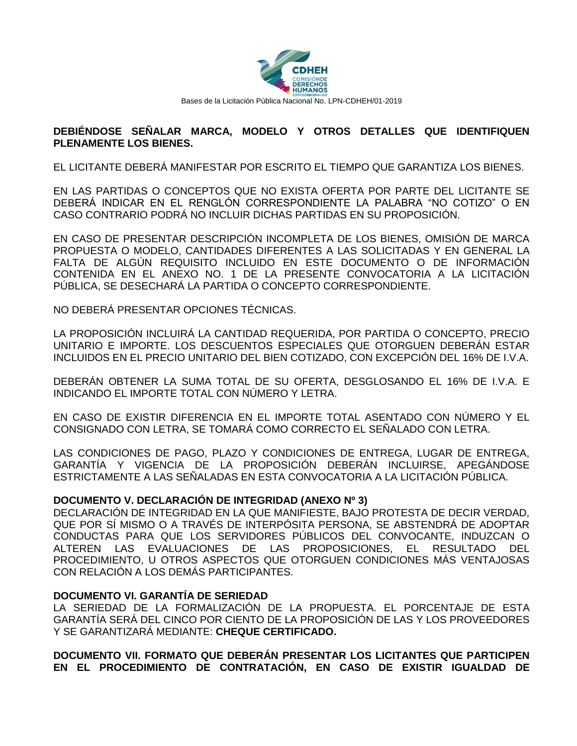

#### **DEBIÉNDOSE SEÑALAR MARCA, MODELO Y OTROS DETALLES QUE IDENTIFIQUEN PLENAMENTE LOS BIENES.**

EL LICITANTE DEBERÁ MANIFESTAR POR ESCRITO EL TIEMPO QUE GARANTIZA LOS BIENES.

EN LAS PARTIDAS O CONCEPTOS QUE NO EXISTA OFERTA POR PARTE DEL LICITANTE SE DEBERÁ INDICAR EN EL RENGLÓN CORRESPONDIENTE LA PALABRA "NO COTIZO" O EN CASO CONTRARIO PODRÁ NO INCLUIR DICHAS PARTIDAS EN SU PROPOSICIÓN.

EN CASO DE PRESENTAR DESCRIPCIÓN INCOMPLETA DE LOS BIENES, OMISIÓN DE MARCA PROPUESTA O MODELO, CANTIDADES DIFERENTES A LAS SOLICITADAS Y EN GENERAL LA FALTA DE ALGÚN REQUISITO INCLUIDO EN ESTE DOCUMENTO O DE INFORMACIÓN CONTENIDA EN EL ANEXO NO. 1 DE LA PRESENTE CONVOCATORIA A LA LICITACIÓN PÚBLICA, SE DESECHARÁ LA PARTIDA O CONCEPTO CORRESPONDIENTE.

NO DEBERÁ PRESENTAR OPCIONES TÉCNICAS.

LA PROPOSICIÓN INCLUIRÁ LA CANTIDAD REQUERIDA, POR PARTIDA O CONCEPTO, PRECIO UNITARIO E IMPORTE. LOS DESCUENTOS ESPECIALES QUE OTORGUEN DEBERÁN ESTAR INCLUIDOS EN EL PRECIO UNITARIO DEL BIEN COTIZADO, CON EXCEPCIÓN DEL 16% DE I.V.A.

DEBERÁN OBTENER LA SUMA TOTAL DE SU OFERTA, DESGLOSANDO EL 16% DE I.V.A. E INDICANDO EL IMPORTE TOTAL CON NÚMERO Y LETRA.

EN CASO DE EXISTIR DIFERENCIA EN EL IMPORTE TOTAL ASENTADO CON NÚMERO Y EL CONSIGNADO CON LETRA, SE TOMARÁ COMO CORRECTO EL SEÑALADO CON LETRA.

LAS CONDICIONES DE PAGO, PLAZO Y CONDICIONES DE ENTREGA, LUGAR DE ENTREGA, GARANTÍA Y VIGENCIA DE LA PROPOSICIÓN DEBERÁN INCLUIRSE, APEGÁNDOSE ESTRICTAMENTE A LAS SEÑALADAS EN ESTA CONVOCATORIA A LA LICITACIÓN PÚBLICA.

#### **DOCUMENTO V. DECLARACIÓN DE INTEGRIDAD (ANEXO Nº 3)**

DECLARACIÓN DE INTEGRIDAD EN LA QUE MANIFIESTE, BAJO PROTESTA DE DECIR VERDAD, QUE POR SÍ MISMO O A TRAVÉS DE INTERPÓSITA PERSONA, SE ABSTENDRÁ DE ADOPTAR CONDUCTAS PARA QUE LOS SERVIDORES PÚBLICOS DEL CONVOCANTE, INDUZCAN O ALTEREN LAS EVALUACIONES DE LAS PROPOSICIONES, EL RESULTADO DEL PROCEDIMIENTO, U OTROS ASPECTOS QUE OTORGUEN CONDICIONES MÁS VENTAJOSAS CON RELACIÓN A LOS DEMÁS PARTICIPANTES.

#### **DOCUMENTO VI. GARANTÍA DE SERIEDAD**

LA SERIEDAD DE LA FORMALIZACIÓN DE LA PROPUESTA. EL PORCENTAJE DE ESTA GARANTÍA SERÁ DEL CINCO POR CIENTO DE LA PROPOSICIÓN DE LAS Y LOS PROVEEDORES Y SE GARANTIZARÁ MEDIANTE: **CHEQUE CERTIFICADO.**

**DOCUMENTO VII. FORMATO QUE DEBERÁN PRESENTAR LOS LICITANTES QUE PARTICIPEN EN EL PROCEDIMIENTO DE CONTRATACIÓN, EN CASO DE EXISTIR IGUALDAD DE**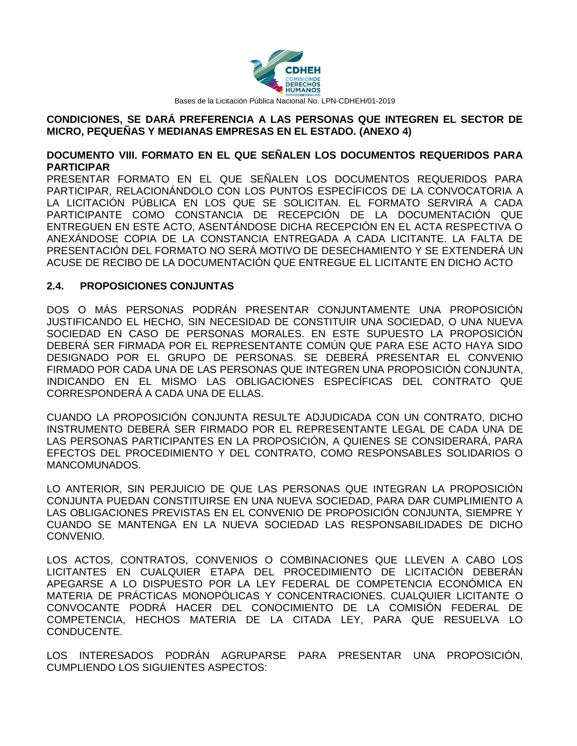

#### **CONDICIONES, SE DARÁ PREFERENCIA A LAS PERSONAS QUE INTEGREN EL SECTOR DE MICRO, PEQUEÑAS Y MEDIANAS EMPRESAS EN EL ESTADO. (ANEXO 4)**

#### **DOCUMENTO VIII. FORMATO EN EL QUE SEÑALEN LOS DOCUMENTOS REQUERIDOS PARA PARTICIPAR**

PRESENTAR FORMATO EN EL QUE SEÑALEN LOS DOCUMENTOS REQUERIDOS PARA PARTICIPAR, RELACIONÁNDOLO CON LOS PUNTOS ESPECÍFICOS DE LA CONVOCATORIA A LA LICITACIÓN PÚBLICA EN LOS QUE SE SOLICITAN. EL FORMATO SERVIRÁ A CADA PARTICIPANTE COMO CONSTANCIA DE RECEPCIÓN DE LA DOCUMENTACIÓN QUE ENTREGUEN EN ESTE ACTO, ASENTÁNDOSE DICHA RECEPCIÓN EN EL ACTA RESPECTIVA O ANEXÁNDOSE COPIA DE LA CONSTANCIA ENTREGADA A CADA LICITANTE. LA FALTA DE PRESENTACIÓN DEL FORMATO NO SERÁ MOTIVO DE DESECHAMIENTO Y SE EXTENDERÁ UN ACUSE DE RECIBO DE LA DOCUMENTACIÓN QUE ENTREGUE EL LICITANTE EN DICHO ACTO

### **2.4. PROPOSICIONES CONJUNTAS**

DOS O MÁS PERSONAS PODRÁN PRESENTAR CONJUNTAMENTE UNA PROPOSICIÓN JUSTIFICANDO EL HECHO, SIN NECESIDAD DE CONSTITUIR UNA SOCIEDAD, O UNA NUEVA SOCIEDAD EN CASO DE PERSONAS MORALES. EN ESTE SUPUESTO LA PROPOSICIÓN DEBERÁ SER FIRMADA POR EL REPRESENTANTE COMÚN QUE PARA ESE ACTO HAYA SIDO DESIGNADO POR EL GRUPO DE PERSONAS. SE DEBERÁ PRESENTAR EL CONVENIO FIRMADO POR CADA UNA DE LAS PERSONAS QUE INTEGREN UNA PROPOSICIÓN CONJUNTA, INDICANDO EN EL MISMO LAS OBLIGACIONES ESPECÍFICAS DEL CONTRATO QUE CORRESPONDERÁ A CADA UNA DE ELLAS.

CUANDO LA PROPOSICIÓN CONJUNTA RESULTE ADJUDICADA CON UN CONTRATO, DICHO INSTRUMENTO DEBERÁ SER FIRMADO POR EL REPRESENTANTE LEGAL DE CADA UNA DE LAS PERSONAS PARTICIPANTES EN LA PROPOSICIÓN, A QUIENES SE CONSIDERARÁ, PARA EFECTOS DEL PROCEDIMIENTO Y DEL CONTRATO, COMO RESPONSABLES SOLIDARIOS O MANCOMUNADOS.

LO ANTERIOR, SIN PERJUICIO DE QUE LAS PERSONAS QUE INTEGRAN LA PROPOSICIÓN CONJUNTA PUEDAN CONSTITUIRSE EN UNA NUEVA SOCIEDAD, PARA DAR CUMPLIMIENTO A LAS OBLIGACIONES PREVISTAS EN EL CONVENIO DE PROPOSICIÓN CONJUNTA, SIEMPRE Y CUANDO SE MANTENGA EN LA NUEVA SOCIEDAD LAS RESPONSABILIDADES DE DICHO CONVENIO.

LOS ACTOS, CONTRATOS, CONVENIOS O COMBINACIONES QUE LLEVEN A CABO LOS LICITANTES EN CUALQUIER ETAPA DEL PROCEDIMIENTO DE LICITACIÓN DEBERÁN APEGARSE A LO DISPUESTO POR LA LEY FEDERAL DE COMPETENCIA ECONÓMICA EN MATERIA DE PRÁCTICAS MONOPÓLICAS Y CONCENTRACIONES. CUALQUIER LICITANTE O CONVOCANTE PODRÁ HACER DEL CONOCIMIENTO DE LA COMISIÓN FEDERAL DE COMPETENCIA, HECHOS MATERIA DE LA CITADA LEY, PARA QUE RESUELVA LO CONDUCENTE.

LOS INTERESADOS PODRÁN AGRUPARSE PARA PRESENTAR UNA PROPOSICIÓN, CUMPLIENDO LOS SIGUIENTES ASPECTOS: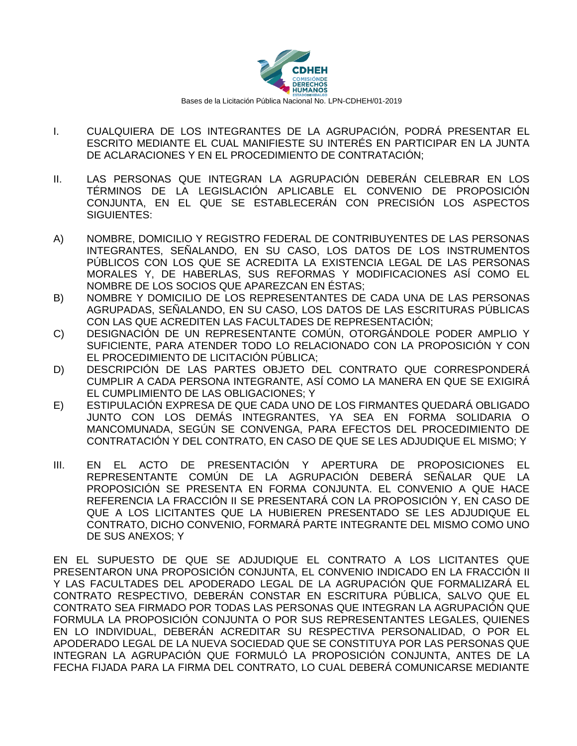

- I. CUALQUIERA DE LOS INTEGRANTES DE LA AGRUPACIÓN, PODRÁ PRESENTAR EL ESCRITO MEDIANTE EL CUAL MANIFIESTE SU INTERÉS EN PARTICIPAR EN LA JUNTA DE ACLARACIONES Y EN EL PROCEDIMIENTO DE CONTRATACIÓN;
- II. LAS PERSONAS QUE INTEGRAN LA AGRUPACIÓN DEBERÁN CELEBRAR EN LOS TÉRMINOS DE LA LEGISLACIÓN APLICABLE EL CONVENIO DE PROPOSICIÓN CONJUNTA, EN EL QUE SE ESTABLECERÁN CON PRECISIÓN LOS ASPECTOS SIGUIENTES:
- A) NOMBRE, DOMICILIO Y REGISTRO FEDERAL DE CONTRIBUYENTES DE LAS PERSONAS INTEGRANTES, SEÑALANDO, EN SU CASO, LOS DATOS DE LOS INSTRUMENTOS PÚBLICOS CON LOS QUE SE ACREDITA LA EXISTENCIA LEGAL DE LAS PERSONAS MORALES Y, DE HABERLAS, SUS REFORMAS Y MODIFICACIONES ASÍ COMO EL NOMBRE DE LOS SOCIOS QUE APAREZCAN EN ÉSTAS;
- B) NOMBRE Y DOMICILIO DE LOS REPRESENTANTES DE CADA UNA DE LAS PERSONAS AGRUPADAS, SEÑALANDO, EN SU CASO, LOS DATOS DE LAS ESCRITURAS PÚBLICAS CON LAS QUE ACREDITEN LAS FACULTADES DE REPRESENTACIÓN;
- C) DESIGNACIÓN DE UN REPRESENTANTE COMÚN, OTORGÁNDOLE PODER AMPLIO Y SUFICIENTE, PARA ATENDER TODO LO RELACIONADO CON LA PROPOSICIÓN Y CON EL PROCEDIMIENTO DE LICITACIÓN PÚBLICA;
- D) DESCRIPCIÓN DE LAS PARTES OBJETO DEL CONTRATO QUE CORRESPONDERÁ CUMPLIR A CADA PERSONA INTEGRANTE, ASÍ COMO LA MANERA EN QUE SE EXIGIRÁ EL CUMPLIMIENTO DE LAS OBLIGACIONES; Y
- E) ESTIPULACIÓN EXPRESA DE QUE CADA UNO DE LOS FIRMANTES QUEDARÁ OBLIGADO JUNTO CON LOS DEMÁS INTEGRANTES, YA SEA EN FORMA SOLIDARIA O MANCOMUNADA, SEGÚN SE CONVENGA, PARA EFECTOS DEL PROCEDIMIENTO DE CONTRATACIÓN Y DEL CONTRATO, EN CASO DE QUE SE LES ADJUDIQUE EL MISMO; Y
- III. EN EL ACTO DE PRESENTACIÓN Y APERTURA DE PROPOSICIONES EL REPRESENTANTE COMÚN DE LA AGRUPACIÓN DEBERÁ SEÑALAR QUE LA PROPOSICIÓN SE PRESENTA EN FORMA CONJUNTA. EL CONVENIO A QUE HACE REFERENCIA LA FRACCIÓN II SE PRESENTARÁ CON LA PROPOSICIÓN Y, EN CASO DE QUE A LOS LICITANTES QUE LA HUBIEREN PRESENTADO SE LES ADJUDIQUE EL CONTRATO, DICHO CONVENIO, FORMARÁ PARTE INTEGRANTE DEL MISMO COMO UNO DE SUS ANEXOS; Y

EN EL SUPUESTO DE QUE SE ADJUDIQUE EL CONTRATO A LOS LICITANTES QUE PRESENTARON UNA PROPOSICIÓN CONJUNTA, EL CONVENIO INDICADO EN LA FRACCIÓN II Y LAS FACULTADES DEL APODERADO LEGAL DE LA AGRUPACIÓN QUE FORMALIZARÁ EL CONTRATO RESPECTIVO, DEBERÁN CONSTAR EN ESCRITURA PÚBLICA, SALVO QUE EL CONTRATO SEA FIRMADO POR TODAS LAS PERSONAS QUE INTEGRAN LA AGRUPACIÓN QUE FORMULA LA PROPOSICIÓN CONJUNTA O POR SUS REPRESENTANTES LEGALES, QUIENES EN LO INDIVIDUAL, DEBERÁN ACREDITAR SU RESPECTIVA PERSONALIDAD, O POR EL APODERADO LEGAL DE LA NUEVA SOCIEDAD QUE SE CONSTITUYA POR LAS PERSONAS QUE INTEGRAN LA AGRUPACIÓN QUE FORMULÓ LA PROPOSICIÓN CONJUNTA, ANTES DE LA FECHA FIJADA PARA LA FIRMA DEL CONTRATO, LO CUAL DEBERÁ COMUNICARSE MEDIANTE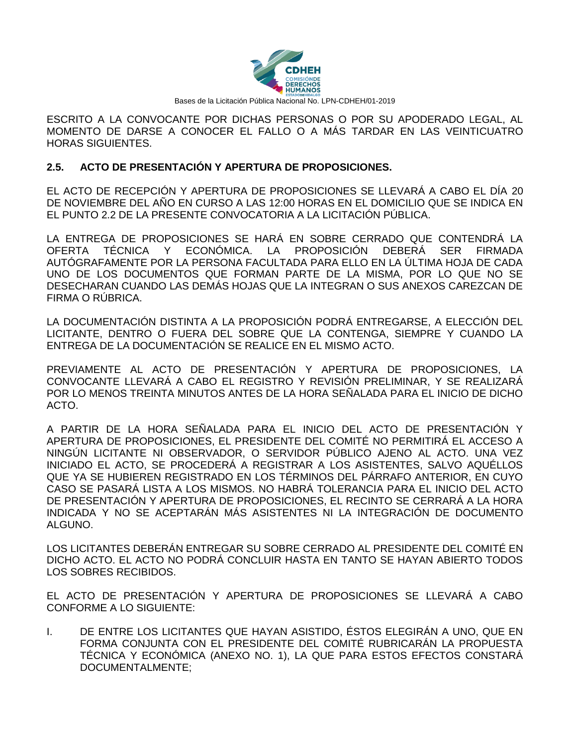

ESCRITO A LA CONVOCANTE POR DICHAS PERSONAS O POR SU APODERADO LEGAL, AL MOMENTO DE DARSE A CONOCER EL FALLO O A MÁS TARDAR EN LAS VEINTICUATRO HORAS SIGUIENTES.

## **2.5. ACTO DE PRESENTACIÓN Y APERTURA DE PROPOSICIONES.**

EL ACTO DE RECEPCIÓN Y APERTURA DE PROPOSICIONES SE LLEVARÁ A CABO EL DÍA 20 DE NOVIEMBRE DEL AÑO EN CURSO A LAS 12:00 HORAS EN EL DOMICILIO QUE SE INDICA EN EL PUNTO 2.2 DE LA PRESENTE CONVOCATORIA A LA LICITACIÓN PÚBLICA.

LA ENTREGA DE PROPOSICIONES SE HARÁ EN SOBRE CERRADO QUE CONTENDRÁ LA OFERTA TÉCNICA Y ECONÓMICA. LA PROPOSICIÓN DEBERÁ SER FIRMADA AUTÓGRAFAMENTE POR LA PERSONA FACULTADA PARA ELLO EN LA ÚLTIMA HOJA DE CADA UNO DE LOS DOCUMENTOS QUE FORMAN PARTE DE LA MISMA, POR LO QUE NO SE DESECHARAN CUANDO LAS DEMÁS HOJAS QUE LA INTEGRAN O SUS ANEXOS CAREZCAN DE FIRMA O RÚBRICA.

LA DOCUMENTACIÓN DISTINTA A LA PROPOSICIÓN PODRÁ ENTREGARSE, A ELECCIÓN DEL LICITANTE, DENTRO O FUERA DEL SOBRE QUE LA CONTENGA, SIEMPRE Y CUANDO LA ENTREGA DE LA DOCUMENTACIÓN SE REALICE EN EL MISMO ACTO.

PREVIAMENTE AL ACTO DE PRESENTACIÓN Y APERTURA DE PROPOSICIONES, LA CONVOCANTE LLEVARÁ A CABO EL REGISTRO Y REVISIÓN PRELIMINAR, Y SE REALIZARÁ POR LO MENOS TREINTA MINUTOS ANTES DE LA HORA SEÑALADA PARA EL INICIO DE DICHO ACTO.

A PARTIR DE LA HORA SEÑALADA PARA EL INICIO DEL ACTO DE PRESENTACIÓN Y APERTURA DE PROPOSICIONES, EL PRESIDENTE DEL COMITÉ NO PERMITIRÁ EL ACCESO A NINGÚN LICITANTE NI OBSERVADOR, O SERVIDOR PÚBLICO AJENO AL ACTO. UNA VEZ INICIADO EL ACTO, SE PROCEDERÁ A REGISTRAR A LOS ASISTENTES, SALVO AQUÉLLOS QUE YA SE HUBIEREN REGISTRADO EN LOS TÉRMINOS DEL PÁRRAFO ANTERIOR, EN CUYO CASO SE PASARÁ LISTA A LOS MISMOS. NO HABRÁ TOLERANCIA PARA EL INICIO DEL ACTO DE PRESENTACIÓN Y APERTURA DE PROPOSICIONES, EL RECINTO SE CERRARÁ A LA HORA INDICADA Y NO SE ACEPTARÁN MÁS ASISTENTES NI LA INTEGRACIÓN DE DOCUMENTO ALGUNO.

LOS LICITANTES DEBERÁN ENTREGAR SU SOBRE CERRADO AL PRESIDENTE DEL COMITÉ EN DICHO ACTO. EL ACTO NO PODRÁ CONCLUIR HASTA EN TANTO SE HAYAN ABIERTO TODOS LOS SOBRES RECIBIDOS.

EL ACTO DE PRESENTACIÓN Y APERTURA DE PROPOSICIONES SE LLEVARÁ A CABO CONFORME A LO SIGUIENTE:

I. DE ENTRE LOS LICITANTES QUE HAYAN ASISTIDO, ÉSTOS ELEGIRÁN A UNO, QUE EN FORMA CONJUNTA CON EL PRESIDENTE DEL COMITÉ RUBRICARÁN LA PROPUESTA TÉCNICA Y ECONÓMICA (ANEXO NO. 1), LA QUE PARA ESTOS EFECTOS CONSTARÁ DOCUMENTALMENTE;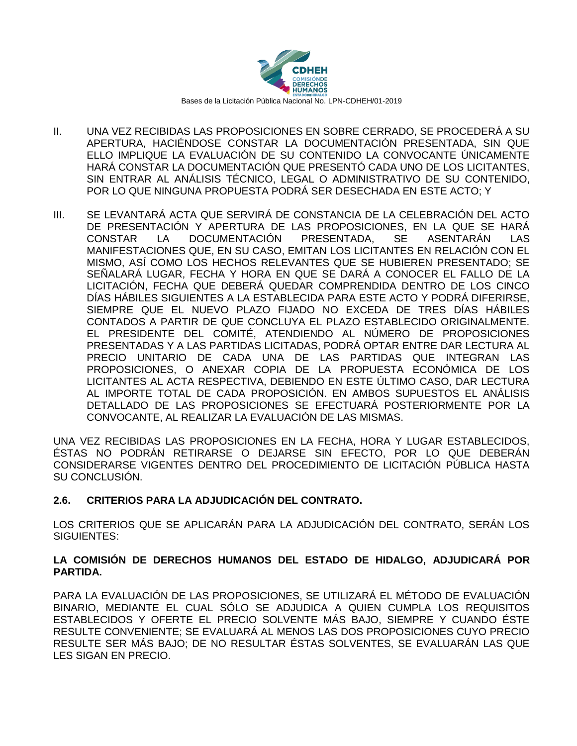

- II. UNA VEZ RECIBIDAS LAS PROPOSICIONES EN SOBRE CERRADO, SE PROCEDERÁ A SU APERTURA, HACIÉNDOSE CONSTAR LA DOCUMENTACIÓN PRESENTADA, SIN QUE ELLO IMPLIQUE LA EVALUACIÓN DE SU CONTENIDO LA CONVOCANTE ÚNICAMENTE HARÁ CONSTAR LA DOCUMENTACIÓN QUE PRESENTÓ CADA UNO DE LOS LICITANTES, SIN ENTRAR AL ANÁLISIS TÉCNICO, LEGAL O ADMINISTRATIVO DE SU CONTENIDO, POR LO QUE NINGUNA PROPUESTA PODRÁ SER DESECHADA EN ESTE ACTO; Y
- III. SE LEVANTARÁ ACTA QUE SERVIRÁ DE CONSTANCIA DE LA CELEBRACIÓN DEL ACTO DE PRESENTACIÓN Y APERTURA DE LAS PROPOSICIONES, EN LA QUE SE HARÁ CONSTAR LA DOCUMENTACIÓN PRESENTADA, SE ASENTARÁN LAS MANIFESTACIONES QUE, EN SU CASO, EMITAN LOS LICITANTES EN RELACIÓN CON EL MISMO, ASÍ COMO LOS HECHOS RELEVANTES QUE SE HUBIEREN PRESENTADO; SE SEÑALARÁ LUGAR, FECHA Y HORA EN QUE SE DARÁ A CONOCER EL FALLO DE LA LICITACIÓN, FECHA QUE DEBERÁ QUEDAR COMPRENDIDA DENTRO DE LOS CINCO DÍAS HÁBILES SIGUIENTES A LA ESTABLECIDA PARA ESTE ACTO Y PODRÁ DIFERIRSE, SIEMPRE QUE EL NUEVO PLAZO FIJADO NO EXCEDA DE TRES DÍAS HÁBILES CONTADOS A PARTIR DE QUE CONCLUYA EL PLAZO ESTABLECIDO ORIGINALMENTE. EL PRESIDENTE DEL COMITÉ, ATENDIENDO AL NÚMERO DE PROPOSICIONES PRESENTADAS Y A LAS PARTIDAS LICITADAS, PODRÁ OPTAR ENTRE DAR LECTURA AL PRECIO UNITARIO DE CADA UNA DE LAS PARTIDAS QUE INTEGRAN LAS PROPOSICIONES, O ANEXAR COPIA DE LA PROPUESTA ECONÓMICA DE LOS LICITANTES AL ACTA RESPECTIVA, DEBIENDO EN ESTE ÚLTIMO CASO, DAR LECTURA AL IMPORTE TOTAL DE CADA PROPOSICIÓN. EN AMBOS SUPUESTOS EL ANÁLISIS DETALLADO DE LAS PROPOSICIONES SE EFECTUARÁ POSTERIORMENTE POR LA CONVOCANTE, AL REALIZAR LA EVALUACIÓN DE LAS MISMAS.

UNA VEZ RECIBIDAS LAS PROPOSICIONES EN LA FECHA, HORA Y LUGAR ESTABLECIDOS, ÉSTAS NO PODRÁN RETIRARSE O DEJARSE SIN EFECTO, POR LO QUE DEBERÁN CONSIDERARSE VIGENTES DENTRO DEL PROCEDIMIENTO DE LICITACIÓN PÚBLICA HASTA SU CONCLUSIÓN.

## **2.6. CRITERIOS PARA LA ADJUDICACIÓN DEL CONTRATO.**

LOS CRITERIOS QUE SE APLICARÁN PARA LA ADJUDICACIÓN DEL CONTRATO, SERÁN LOS SIGUIENTES:

#### **LA COMISIÓN DE DERECHOS HUMANOS DEL ESTADO DE HIDALGO, ADJUDICARÁ POR PARTIDA.**

PARA LA EVALUACIÓN DE LAS PROPOSICIONES, SE UTILIZARÁ EL MÉTODO DE EVALUACIÓN BINARIO, MEDIANTE EL CUAL SÓLO SE ADJUDICA A QUIEN CUMPLA LOS REQUISITOS ESTABLECIDOS Y OFERTE EL PRECIO SOLVENTE MÁS BAJO, SIEMPRE Y CUANDO ÉSTE RESULTE CONVENIENTE; SE EVALUARÁ AL MENOS LAS DOS PROPOSICIONES CUYO PRECIO RESULTE SER MÁS BAJO; DE NO RESULTAR ÉSTAS SOLVENTES, SE EVALUARÁN LAS QUE LES SIGAN EN PRECIO.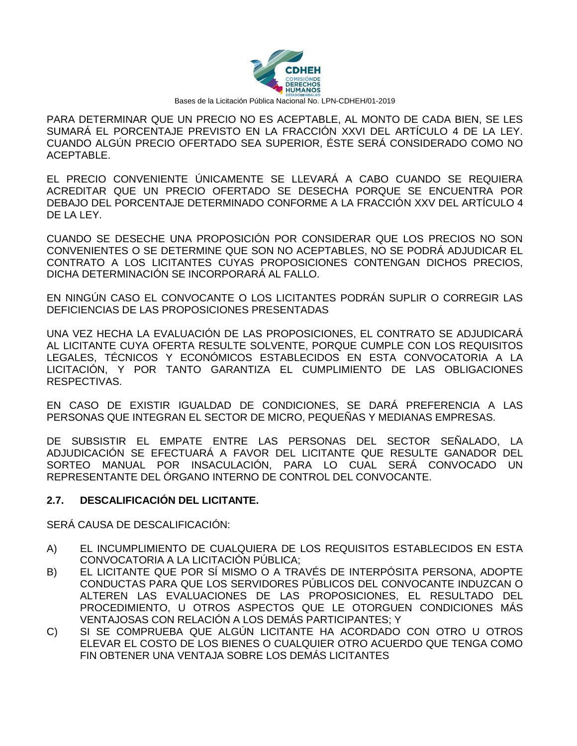

PARA DETERMINAR QUE UN PRECIO NO ES ACEPTABLE, AL MONTO DE CADA BIEN, SE LES SUMARÁ EL PORCENTAJE PREVISTO EN LA FRACCIÓN XXVI DEL ARTÍCULO 4 DE LA LEY. CUANDO ALGÚN PRECIO OFERTADO SEA SUPERIOR, ÉSTE SERÁ CONSIDERADO COMO NO ACEPTABLE.

EL PRECIO CONVENIENTE ÚNICAMENTE SE LLEVARÁ A CABO CUANDO SE REQUIERA ACREDITAR QUE UN PRECIO OFERTADO SE DESECHA PORQUE SE ENCUENTRA POR DEBAJO DEL PORCENTAJE DETERMINADO CONFORME A LA FRACCIÓN XXV DEL ARTÍCULO 4 DE LA LEY.

CUANDO SE DESECHE UNA PROPOSICIÓN POR CONSIDERAR QUE LOS PRECIOS NO SON CONVENIENTES O SE DETERMINE QUE SON NO ACEPTABLES, NO SE PODRÁ ADJUDICAR EL CONTRATO A LOS LICITANTES CUYAS PROPOSICIONES CONTENGAN DICHOS PRECIOS, DICHA DETERMINACIÓN SE INCORPORARÁ AL FALLO.

EN NINGÚN CASO EL CONVOCANTE O LOS LICITANTES PODRÁN SUPLIR O CORREGIR LAS DEFICIENCIAS DE LAS PROPOSICIONES PRESENTADAS

UNA VEZ HECHA LA EVALUACIÓN DE LAS PROPOSICIONES, EL CONTRATO SE ADJUDICARÁ AL LICITANTE CUYA OFERTA RESULTE SOLVENTE, PORQUE CUMPLE CON LOS REQUISITOS LEGALES, TÉCNICOS Y ECONÓMICOS ESTABLECIDOS EN ESTA CONVOCATORIA A LA LICITACIÓN, Y POR TANTO GARANTIZA EL CUMPLIMIENTO DE LAS OBLIGACIONES RESPECTIVAS.

EN CASO DE EXISTIR IGUALDAD DE CONDICIONES, SE DARÁ PREFERENCIA A LAS PERSONAS QUE INTEGRAN EL SECTOR DE MICRO, PEQUEÑAS Y MEDIANAS EMPRESAS.

DE SUBSISTIR EL EMPATE ENTRE LAS PERSONAS DEL SECTOR SEÑALADO, LA ADJUDICACIÓN SE EFECTUARÁ A FAVOR DEL LICITANTE QUE RESULTE GANADOR DEL SORTEO MANUAL POR INSACULACIÓN, PARA LO CUAL SERÁ CONVOCADO UN REPRESENTANTE DEL ÓRGANO INTERNO DE CONTROL DEL CONVOCANTE.

## **2.7. DESCALIFICACIÓN DEL LICITANTE.**

SERÁ CAUSA DE DESCALIFICACIÓN:

- A) EL INCUMPLIMIENTO DE CUALQUIERA DE LOS REQUISITOS ESTABLECIDOS EN ESTA CONVOCATORIA A LA LICITACIÓN PÚBLICA;
- B) EL LICITANTE QUE POR SÍ MISMO O A TRAVÉS DE INTERPÓSITA PERSONA, ADOPTE CONDUCTAS PARA QUE LOS SERVIDORES PÚBLICOS DEL CONVOCANTE INDUZCAN O ALTEREN LAS EVALUACIONES DE LAS PROPOSICIONES, EL RESULTADO DEL PROCEDIMIENTO, U OTROS ASPECTOS QUE LE OTORGUEN CONDICIONES MÁS VENTAJOSAS CON RELACIÓN A LOS DEMÁS PARTICIPANTES; Y
- C) SI SE COMPRUEBA QUE ALGÚN LICITANTE HA ACORDADO CON OTRO U OTROS ELEVAR EL COSTO DE LOS BIENES O CUALQUIER OTRO ACUERDO QUE TENGA COMO FIN OBTENER UNA VENTAJA SOBRE LOS DEMÁS LICITANTES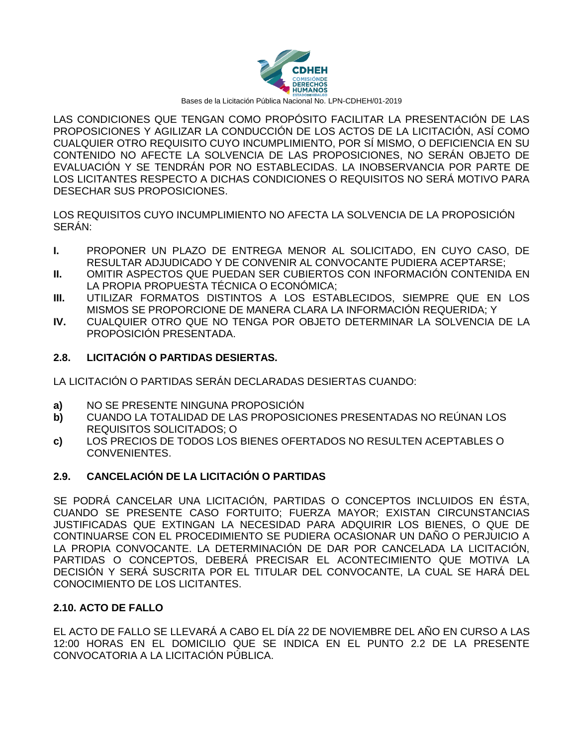

LAS CONDICIONES QUE TENGAN COMO PROPÓSITO FACILITAR LA PRESENTACIÓN DE LAS PROPOSICIONES Y AGILIZAR LA CONDUCCIÓN DE LOS ACTOS DE LA LICITACIÓN, ASÍ COMO CUALQUIER OTRO REQUISITO CUYO INCUMPLIMIENTO, POR SÍ MISMO, O DEFICIENCIA EN SU CONTENIDO NO AFECTE LA SOLVENCIA DE LAS PROPOSICIONES, NO SERÁN OBJETO DE EVALUACIÓN Y SE TENDRÁN POR NO ESTABLECIDAS. LA INOBSERVANCIA POR PARTE DE LOS LICITANTES RESPECTO A DICHAS CONDICIONES O REQUISITOS NO SERÁ MOTIVO PARA DESECHAR SUS PROPOSICIONES.

LOS REQUISITOS CUYO INCUMPLIMIENTO NO AFECTA LA SOLVENCIA DE LA PROPOSICIÓN SERÁN:

- **I.** PROPONER UN PLAZO DE ENTREGA MENOR AL SOLICITADO, EN CUYO CASO, DE RESULTAR ADJUDICADO Y DE CONVENIR AL CONVOCANTE PUDIERA ACEPTARSE;
- **II.** OMITIR ASPECTOS QUE PUEDAN SER CUBIERTOS CON INFORMACIÓN CONTENIDA EN LA PROPIA PROPUESTA TÉCNICA O ECONÓMICA;
- **III.** UTILIZAR FORMATOS DISTINTOS A LOS ESTABLECIDOS, SIEMPRE QUE EN LOS MISMOS SE PROPORCIONE DE MANERA CLARA LA INFORMACIÓN REQUERIDA; Y
- **IV.** CUALQUIER OTRO QUE NO TENGA POR OBJETO DETERMINAR LA SOLVENCIA DE LA PROPOSICIÓN PRESENTADA.

### **2.8. LICITACIÓN O PARTIDAS DESIERTAS.**

LA LICITACIÓN O PARTIDAS SERÁN DECLARADAS DESIERTAS CUANDO:

- **a)** NO SE PRESENTE NINGUNA PROPOSICIÓN
- **b)** CUANDO LA TOTALIDAD DE LAS PROPOSICIONES PRESENTADAS NO REÚNAN LOS REQUISITOS SOLICITADOS; O
- **c)** LOS PRECIOS DE TODOS LOS BIENES OFERTADOS NO RESULTEN ACEPTABLES O CONVENIENTES.

## **2.9. CANCELACIÓN DE LA LICITACIÓN O PARTIDAS**

SE PODRÁ CANCELAR UNA LICITACIÓN, PARTIDAS O CONCEPTOS INCLUIDOS EN ÉSTA, CUANDO SE PRESENTE CASO FORTUITO; FUERZA MAYOR; EXISTAN CIRCUNSTANCIAS JUSTIFICADAS QUE EXTINGAN LA NECESIDAD PARA ADQUIRIR LOS BIENES, O QUE DE CONTINUARSE CON EL PROCEDIMIENTO SE PUDIERA OCASIONAR UN DAÑO O PERJUICIO A LA PROPIA CONVOCANTE. LA DETERMINACIÓN DE DAR POR CANCELADA LA LICITACIÓN, PARTIDAS O CONCEPTOS, DEBERÁ PRECISAR EL ACONTECIMIENTO QUE MOTIVA LA DECISIÓN Y SERÁ SUSCRITA POR EL TITULAR DEL CONVOCANTE, LA CUAL SE HARÁ DEL CONOCIMIENTO DE LOS LICITANTES.

#### **2.10. ACTO DE FALLO**

EL ACTO DE FALLO SE LLEVARÁ A CABO EL DÍA 22 DE NOVIEMBRE DEL AÑO EN CURSO A LAS 12:00 HORAS EN EL DOMICILIO QUE SE INDICA EN EL PUNTO 2.2 DE LA PRESENTE CONVOCATORIA A LA LICITACIÓN PÚBLICA.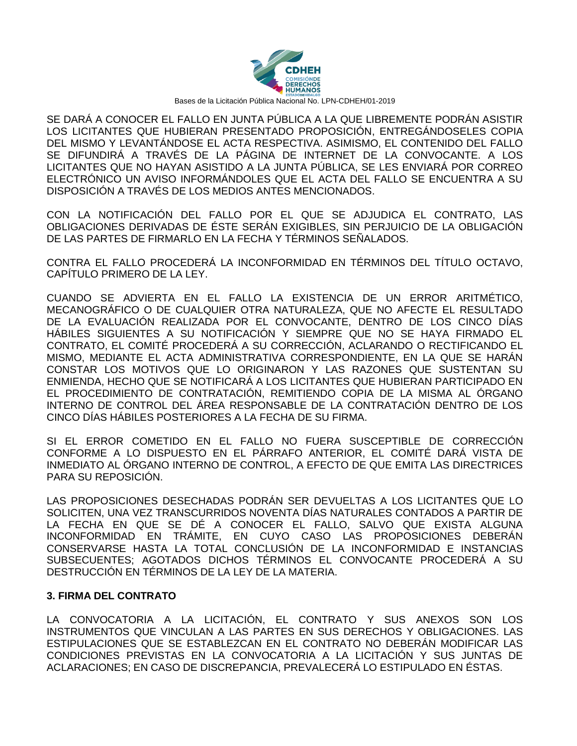

SE DARÁ A CONOCER EL FALLO EN JUNTA PÚBLICA A LA QUE LIBREMENTE PODRÁN ASISTIR LOS LICITANTES QUE HUBIERAN PRESENTADO PROPOSICIÓN, ENTREGÁNDOSELES COPIA DEL MISMO Y LEVANTÁNDOSE EL ACTA RESPECTIVA. ASIMISMO, EL CONTENIDO DEL FALLO SE DIFUNDIRÁ A TRAVÉS DE LA PÁGINA DE INTERNET DE LA CONVOCANTE. A LOS LICITANTES QUE NO HAYAN ASISTIDO A LA JUNTA PÚBLICA, SE LES ENVIARÁ POR CORREO ELECTRÓNICO UN AVISO INFORMÁNDOLES QUE EL ACTA DEL FALLO SE ENCUENTRA A SU DISPOSICIÓN A TRAVÉS DE LOS MEDIOS ANTES MENCIONADOS.

CON LA NOTIFICACIÓN DEL FALLO POR EL QUE SE ADJUDICA EL CONTRATO, LAS OBLIGACIONES DERIVADAS DE ÉSTE SERÁN EXIGIBLES, SIN PERJUICIO DE LA OBLIGACIÓN DE LAS PARTES DE FIRMARLO EN LA FECHA Y TÉRMINOS SEÑALADOS.

CONTRA EL FALLO PROCEDERÁ LA INCONFORMIDAD EN TÉRMINOS DEL TÍTULO OCTAVO, CAPÍTULO PRIMERO DE LA LEY.

CUANDO SE ADVIERTA EN EL FALLO LA EXISTENCIA DE UN ERROR ARITMÉTICO, MECANOGRÁFICO O DE CUALQUIER OTRA NATURALEZA, QUE NO AFECTE EL RESULTADO DE LA EVALUACIÓN REALIZADA POR EL CONVOCANTE, DENTRO DE LOS CINCO DÍAS HÁBILES SIGUIENTES A SU NOTIFICACIÓN Y SIEMPRE QUE NO SE HAYA FIRMADO EL CONTRATO, EL COMITÉ PROCEDERÁ A SU CORRECCIÓN, ACLARANDO O RECTIFICANDO EL MISMO, MEDIANTE EL ACTA ADMINISTRATIVA CORRESPONDIENTE, EN LA QUE SE HARÁN CONSTAR LOS MOTIVOS QUE LO ORIGINARON Y LAS RAZONES QUE SUSTENTAN SU ENMIENDA, HECHO QUE SE NOTIFICARÁ A LOS LICITANTES QUE HUBIERAN PARTICIPADO EN EL PROCEDIMIENTO DE CONTRATACIÓN, REMITIENDO COPIA DE LA MISMA AL ÓRGANO INTERNO DE CONTROL DEL ÁREA RESPONSABLE DE LA CONTRATACIÓN DENTRO DE LOS CINCO DÍAS HÁBILES POSTERIORES A LA FECHA DE SU FIRMA.

SI EL ERROR COMETIDO EN EL FALLO NO FUERA SUSCEPTIBLE DE CORRECCIÓN CONFORME A LO DISPUESTO EN EL PÁRRAFO ANTERIOR, EL COMITÉ DARÁ VISTA DE INMEDIATO AL ÓRGANO INTERNO DE CONTROL, A EFECTO DE QUE EMITA LAS DIRECTRICES PARA SU REPOSICIÓN.

LAS PROPOSICIONES DESECHADAS PODRÁN SER DEVUELTAS A LOS LICITANTES QUE LO SOLICITEN, UNA VEZ TRANSCURRIDOS NOVENTA DÍAS NATURALES CONTADOS A PARTIR DE LA FECHA EN QUE SE DÉ A CONOCER EL FALLO, SALVO QUE EXISTA ALGUNA INCONFORMIDAD EN TRÁMITE, EN CUYO CASO LAS PROPOSICIONES DEBERÁN CONSERVARSE HASTA LA TOTAL CONCLUSIÓN DE LA INCONFORMIDAD E INSTANCIAS SUBSECUENTES; AGOTADOS DICHOS TÉRMINOS EL CONVOCANTE PROCEDERÁ A SU DESTRUCCIÓN EN TÉRMINOS DE LA LEY DE LA MATERIA.

#### **3. FIRMA DEL CONTRATO**

LA CONVOCATORIA A LA LICITACIÓN, EL CONTRATO Y SUS ANEXOS SON LOS INSTRUMENTOS QUE VINCULAN A LAS PARTES EN SUS DERECHOS Y OBLIGACIONES. LAS ESTIPULACIONES QUE SE ESTABLEZCAN EN EL CONTRATO NO DEBERÁN MODIFICAR LAS CONDICIONES PREVISTAS EN LA CONVOCATORIA A LA LICITACIÓN Y SUS JUNTAS DE ACLARACIONES; EN CASO DE DISCREPANCIA, PREVALECERÁ LO ESTIPULADO EN ÉSTAS.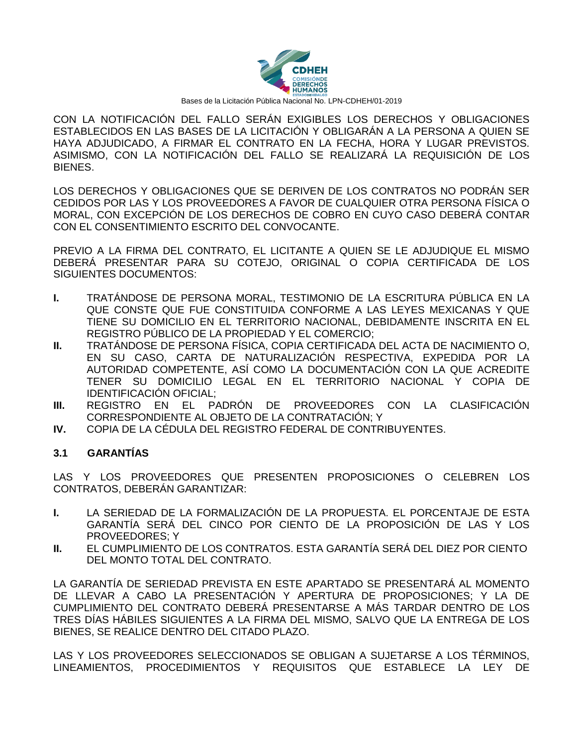

CON LA NOTIFICACIÓN DEL FALLO SERÁN EXIGIBLES LOS DERECHOS Y OBLIGACIONES ESTABLECIDOS EN LAS BASES DE LA LICITACIÓN Y OBLIGARÁN A LA PERSONA A QUIEN SE HAYA ADJUDICADO, A FIRMAR EL CONTRATO EN LA FECHA, HORA Y LUGAR PREVISTOS. ASIMISMO, CON LA NOTIFICACIÓN DEL FALLO SE REALIZARÁ LA REQUISICIÓN DE LOS BIENES.

LOS DERECHOS Y OBLIGACIONES QUE SE DERIVEN DE LOS CONTRATOS NO PODRÁN SER CEDIDOS POR LAS Y LOS PROVEEDORES A FAVOR DE CUALQUIER OTRA PERSONA FÍSICA O MORAL, CON EXCEPCIÓN DE LOS DERECHOS DE COBRO EN CUYO CASO DEBERÁ CONTAR CON EL CONSENTIMIENTO ESCRITO DEL CONVOCANTE.

PREVIO A LA FIRMA DEL CONTRATO, EL LICITANTE A QUIEN SE LE ADJUDIQUE EL MISMO DEBERÁ PRESENTAR PARA SU COTEJO, ORIGINAL O COPIA CERTIFICADA DE LOS SIGUIENTES DOCUMENTOS:

- **I.** TRATÁNDOSE DE PERSONA MORAL, TESTIMONIO DE LA ESCRITURA PÚBLICA EN LA QUE CONSTE QUE FUE CONSTITUIDA CONFORME A LAS LEYES MEXICANAS Y QUE TIENE SU DOMICILIO EN EL TERRITORIO NACIONAL, DEBIDAMENTE INSCRITA EN EL REGISTRO PÚBLICO DE LA PROPIEDAD Y EL COMERCIO;
- **II.** TRATÁNDOSE DE PERSONA FÍSICA, COPIA CERTIFICADA DEL ACTA DE NACIMIENTO O, EN SU CASO, CARTA DE NATURALIZACIÓN RESPECTIVA, EXPEDIDA POR LA AUTORIDAD COMPETENTE, ASÍ COMO LA DOCUMENTACIÓN CON LA QUE ACREDITE TENER SU DOMICILIO LEGAL EN EL TERRITORIO NACIONAL Y COPIA DE IDENTIFICACIÓN OFICIAL;
- **III.** REGISTRO EN EL PADRÓN DE PROVEEDORES CON LA CLASIFICACIÓN CORRESPONDIENTE AL OBJETO DE LA CONTRATACIÓN; Y
- **IV.** COPIA DE LA CÉDULA DEL REGISTRO FEDERAL DE CONTRIBUYENTES.

#### **3.1 GARANTÍAS**

LAS Y LOS PROVEEDORES QUE PRESENTEN PROPOSICIONES O CELEBREN LOS CONTRATOS, DEBERÁN GARANTIZAR:

- **I.** LA SERIEDAD DE LA FORMALIZACIÓN DE LA PROPUESTA. EL PORCENTAJE DE ESTA GARANTÍA SERÁ DEL CINCO POR CIENTO DE LA PROPOSICIÓN DE LAS Y LOS PROVEEDORES; Y
- **II.** EL CUMPLIMIENTO DE LOS CONTRATOS. ESTA GARANTÍA SERÁ DEL DIEZ POR CIENTO DEL MONTO TOTAL DEL CONTRATO.

LA GARANTÍA DE SERIEDAD PREVISTA EN ESTE APARTADO SE PRESENTARÁ AL MOMENTO DE LLEVAR A CABO LA PRESENTACIÓN Y APERTURA DE PROPOSICIONES; Y LA DE CUMPLIMIENTO DEL CONTRATO DEBERÁ PRESENTARSE A MÁS TARDAR DENTRO DE LOS TRES DÍAS HÁBILES SIGUIENTES A LA FIRMA DEL MISMO, SALVO QUE LA ENTREGA DE LOS BIENES, SE REALICE DENTRO DEL CITADO PLAZO.

LAS Y LOS PROVEEDORES SELECCIONADOS SE OBLIGAN A SUJETARSE A LOS TÉRMINOS, LINEAMIENTOS, PROCEDIMIENTOS Y REQUISITOS QUE ESTABLECE LA LEY DE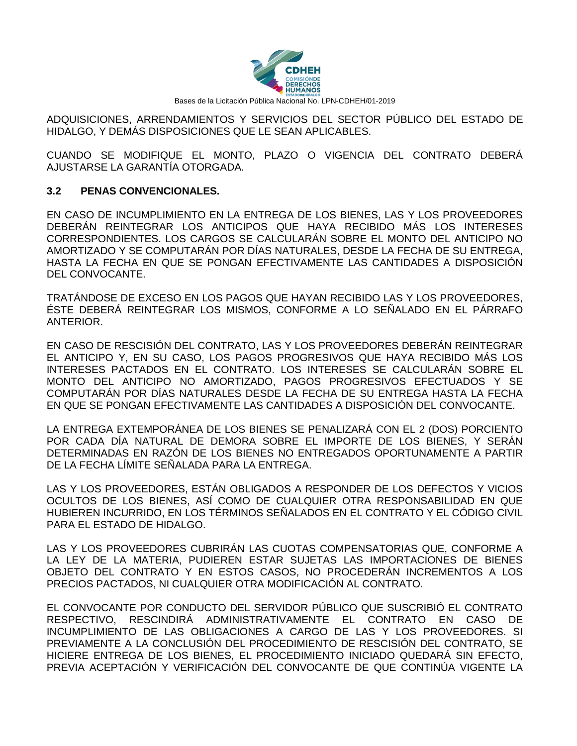

ADQUISICIONES, ARRENDAMIENTOS Y SERVICIOS DEL SECTOR PÚBLICO DEL ESTADO DE HIDALGO, Y DEMÁS DISPOSICIONES QUE LE SEAN APLICABLES.

CUANDO SE MODIFIQUE EL MONTO, PLAZO O VIGENCIA DEL CONTRATO DEBERÁ AJUSTARSE LA GARANTÍA OTORGADA.

### **3.2 PENAS CONVENCIONALES.**

EN CASO DE INCUMPLIMIENTO EN LA ENTREGA DE LOS BIENES, LAS Y LOS PROVEEDORES DEBERÁN REINTEGRAR LOS ANTICIPOS QUE HAYA RECIBIDO MÁS LOS INTERESES CORRESPONDIENTES. LOS CARGOS SE CALCULARÁN SOBRE EL MONTO DEL ANTICIPO NO AMORTIZADO Y SE COMPUTARÁN POR DÍAS NATURALES, DESDE LA FECHA DE SU ENTREGA, HASTA LA FECHA EN QUE SE PONGAN EFECTIVAMENTE LAS CANTIDADES A DISPOSICIÓN DEL CONVOCANTE.

TRATÁNDOSE DE EXCESO EN LOS PAGOS QUE HAYAN RECIBIDO LAS Y LOS PROVEEDORES, ÉSTE DEBERÁ REINTEGRAR LOS MISMOS, CONFORME A LO SEÑALADO EN EL PÁRRAFO ANTERIOR.

EN CASO DE RESCISIÓN DEL CONTRATO, LAS Y LOS PROVEEDORES DEBERÁN REINTEGRAR EL ANTICIPO Y, EN SU CASO, LOS PAGOS PROGRESIVOS QUE HAYA RECIBIDO MÁS LOS INTERESES PACTADOS EN EL CONTRATO. LOS INTERESES SE CALCULARÁN SOBRE EL MONTO DEL ANTICIPO NO AMORTIZADO, PAGOS PROGRESIVOS EFECTUADOS Y SE COMPUTARÁN POR DÍAS NATURALES DESDE LA FECHA DE SU ENTREGA HASTA LA FECHA EN QUE SE PONGAN EFECTIVAMENTE LAS CANTIDADES A DISPOSICIÓN DEL CONVOCANTE.

LA ENTREGA EXTEMPORÁNEA DE LOS BIENES SE PENALIZARÁ CON EL 2 (DOS) PORCIENTO POR CADA DÍA NATURAL DE DEMORA SOBRE EL IMPORTE DE LOS BIENES, Y SERÁN DETERMINADAS EN RAZÓN DE LOS BIENES NO ENTREGADOS OPORTUNAMENTE A PARTIR DE LA FECHA LÍMITE SEÑALADA PARA LA ENTREGA.

LAS Y LOS PROVEEDORES, ESTÁN OBLIGADOS A RESPONDER DE LOS DEFECTOS Y VICIOS OCULTOS DE LOS BIENES, ASÍ COMO DE CUALQUIER OTRA RESPONSABILIDAD EN QUE HUBIEREN INCURRIDO, EN LOS TÉRMINOS SEÑALADOS EN EL CONTRATO Y EL CÓDIGO CIVIL PARA EL ESTADO DE HIDALGO.

LAS Y LOS PROVEEDORES CUBRIRÁN LAS CUOTAS COMPENSATORIAS QUE, CONFORME A LA LEY DE LA MATERIA, PUDIEREN ESTAR SUJETAS LAS IMPORTACIONES DE BIENES OBJETO DEL CONTRATO Y EN ESTOS CASOS, NO PROCEDERÁN INCREMENTOS A LOS PRECIOS PACTADOS, NI CUALQUIER OTRA MODIFICACIÓN AL CONTRATO.

EL CONVOCANTE POR CONDUCTO DEL SERVIDOR PÚBLICO QUE SUSCRIBIÓ EL CONTRATO RESPECTIVO, RESCINDIRÁ ADMINISTRATIVAMENTE EL CONTRATO EN CASO DE INCUMPLIMIENTO DE LAS OBLIGACIONES A CARGO DE LAS Y LOS PROVEEDORES. SI PREVIAMENTE A LA CONCLUSIÓN DEL PROCEDIMIENTO DE RESCISIÓN DEL CONTRATO, SE HICIERE ENTREGA DE LOS BIENES, EL PROCEDIMIENTO INICIADO QUEDARÁ SIN EFECTO, PREVIA ACEPTACIÓN Y VERIFICACIÓN DEL CONVOCANTE DE QUE CONTINÚA VIGENTE LA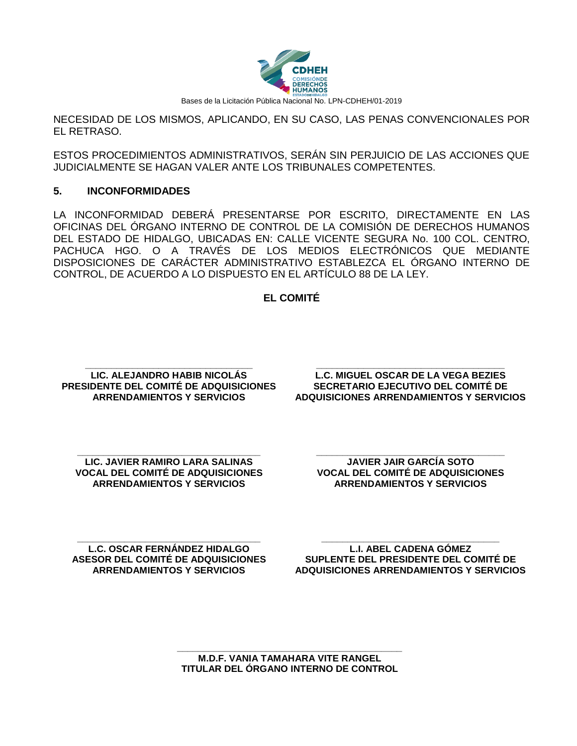

NECESIDAD DE LOS MISMOS, APLICANDO, EN SU CASO, LAS PENAS CONVENCIONALES POR EL RETRASO.

ESTOS PROCEDIMIENTOS ADMINISTRATIVOS, SERÁN SIN PERJUICIO DE LAS ACCIONES QUE JUDICIALMENTE SE HAGAN VALER ANTE LOS TRIBUNALES COMPETENTES.

#### **5. INCONFORMIDADES**

LA INCONFORMIDAD DEBERÁ PRESENTARSE POR ESCRITO, DIRECTAMENTE EN LAS OFICINAS DEL ÓRGANO INTERNO DE CONTROL DE LA COMISIÓN DE DERECHOS HUMANOS DEL ESTADO DE HIDALGO, UBICADAS EN: CALLE VICENTE SEGURA No. 100 COL. CENTRO, PACHUCA HGO. O A TRAVÉS DE LOS MEDIOS ELECTRÓNICOS QUE MEDIANTE DISPOSICIONES DE CARÁCTER ADMINISTRATIVO ESTABLEZCA EL ÓRGANO INTERNO DE CONTROL, DE ACUERDO A LO DISPUESTO EN EL ARTÍCULO 88 DE LA LEY.

#### **EL COMITÉ**

**\_\_\_\_\_\_\_\_\_\_\_\_\_\_\_\_\_\_\_\_\_\_\_\_\_\_\_\_\_\_\_\_ LIC. ALEJANDRO HABIB NICOLÁS PRESIDENTE DEL COMITÉ DE ADQUISICIONES ARRENDAMIENTOS Y SERVICIOS**

**\_\_\_\_\_\_\_\_\_\_\_\_\_\_\_\_\_\_\_\_\_\_\_\_\_\_\_\_\_\_\_\_\_\_\_\_ L.C. MIGUEL OSCAR DE LA VEGA BEZIES SECRETARIO EJECUTIVO DEL COMITÉ DE ADQUISICIONES ARRENDAMIENTOS Y SERVICIOS**

**\_\_\_\_\_\_\_\_\_\_\_\_\_\_\_\_\_\_\_\_\_\_\_\_\_\_\_\_\_\_\_\_\_\_\_ LIC. JAVIER RAMIRO LARA SALINAS VOCAL DEL COMITÉ DE ADQUISICIONES ARRENDAMIENTOS Y SERVICIOS**

**\_\_\_\_\_\_\_\_\_\_\_\_\_\_\_\_\_\_\_\_\_\_\_\_\_\_\_\_\_\_\_\_\_\_\_\_ JAVIER JAIR GARCÍA SOTO VOCAL DEL COMITÉ DE ADQUISICIONES ARRENDAMIENTOS Y SERVICIOS**

**\_\_\_\_\_\_\_\_\_\_\_\_\_\_\_\_\_\_\_\_\_\_\_\_\_\_\_\_\_\_\_\_\_\_\_ L.C. OSCAR FERNÁNDEZ HIDALGO ASESOR DEL COMITÉ DE ADQUISICIONES ARRENDAMIENTOS Y SERVICIOS**

**\_\_\_\_\_\_\_\_\_\_\_\_\_\_\_\_\_\_\_\_\_\_\_\_\_\_\_\_\_\_\_\_\_\_ L.I. ABEL CADENA GÓMEZ SUPLENTE DEL PRESIDENTE DEL COMITÉ DE ADQUISICIONES ARRENDAMIENTOS Y SERVICIOS**

**\_\_\_\_\_\_\_\_\_\_\_\_\_\_\_\_\_\_\_\_\_\_\_\_\_\_\_\_\_\_\_\_\_\_\_\_\_\_\_\_\_\_\_ M.D.F. VANIA TAMAHARA VITE RANGEL TITULAR DEL ÓRGANO INTERNO DE CONTROL**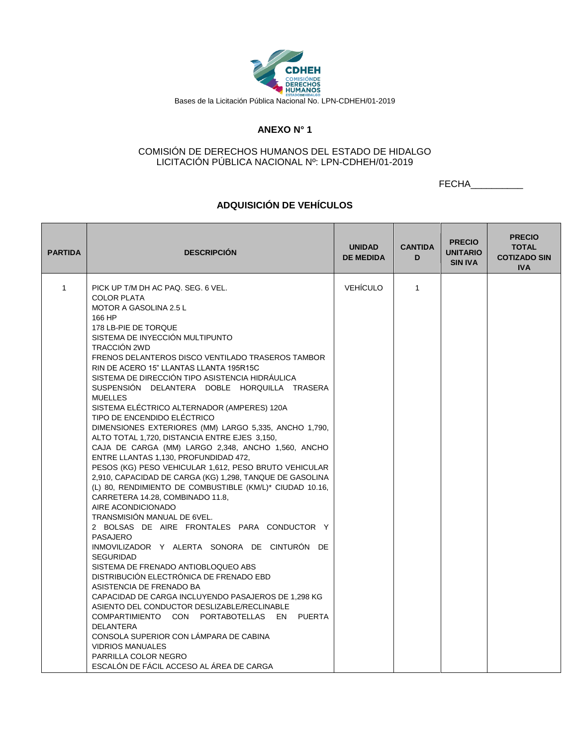

#### **ANEXO N° 1**

#### COMISIÓN DE DERECHOS HUMANOS DEL ESTADO DE HIDALGO LICITACIÓN PÚBLICA NACIONAL Nº: LPN-CDHEH/01-2019

FECHA\_\_\_\_\_\_\_\_\_\_

### **ADQUISICIÓN DE VEHÍCULOS**

| <b>PARTIDA</b> | <b>DESCRIPCIÓN</b>                                                                                                                                                                                                                                                                                                                                                                                                                                                                                                                                                                                                                                                                                                                                                                                                                                                                                                                                                                                                                                                                                                                                                                                                                                                                                                                                                                                                                                                                                                                           | <b>UNIDAD</b><br><b>DE MEDIDA</b> | <b>CANTIDA</b><br>D | <b>PRECIO</b><br><b>UNITARIO</b><br><b>SIN IVA</b> | <b>PRECIO</b><br><b>TOTAL</b><br><b>COTIZADO SIN</b><br><b>IVA</b> |
|----------------|----------------------------------------------------------------------------------------------------------------------------------------------------------------------------------------------------------------------------------------------------------------------------------------------------------------------------------------------------------------------------------------------------------------------------------------------------------------------------------------------------------------------------------------------------------------------------------------------------------------------------------------------------------------------------------------------------------------------------------------------------------------------------------------------------------------------------------------------------------------------------------------------------------------------------------------------------------------------------------------------------------------------------------------------------------------------------------------------------------------------------------------------------------------------------------------------------------------------------------------------------------------------------------------------------------------------------------------------------------------------------------------------------------------------------------------------------------------------------------------------------------------------------------------------|-----------------------------------|---------------------|----------------------------------------------------|--------------------------------------------------------------------|
| $\mathbf{1}$   | PICK UP T/M DH AC PAQ, SEG, 6 VEL.<br><b>COLOR PLATA</b><br><b>MOTOR A GASOLINA 2.5 L</b><br>166 HP<br>178 LB-PIE DE TORQUE<br>SISTEMA DE INYECCIÓN MULTIPUNTO<br>TRACCIÓN 2WD<br>FRENOS DELANTEROS DISCO VENTILADO TRASEROS TAMBOR<br>RIN DE ACERO 15" LLANTAS LLANTA 195R15C<br>SISTEMA DE DIRECCIÓN TIPO ASISTENCIA HIDRÁULICA<br>SUSPENSIÓN DELANTERA DOBLE HORQUILLA TRASERA<br><b>MUELLES</b><br>SISTEMA ELÉCTRICO ALTERNADOR (AMPERES) 120A<br>TIPO DE ENCENDIDO ELÉCTRICO<br>DIMENSIONES EXTERIORES (MM) LARGO 5,335, ANCHO 1,790,<br>ALTO TOTAL 1,720, DISTANCIA ENTRE EJES 3,150,<br>CAJA DE CARGA (MM) LARGO 2,348, ANCHO 1,560, ANCHO<br>ENTRE LLANTAS 1,130, PROFUNDIDAD 472,<br>PESOS (KG) PESO VEHICULAR 1,612, PESO BRUTO VEHICULAR<br>2,910, CAPACIDAD DE CARGA (KG) 1,298, TANQUE DE GASOLINA<br>(L) 80, RENDIMIENTO DE COMBUSTIBLE (KM/L)* CIUDAD 10.16,<br>CARRETERA 14.28, COMBINADO 11.8,<br>AIRE ACONDICIONADO<br><b>TRANSMISIÓN MANUAL DE 6VEL.</b><br>2 BOLSAS DE AIRE FRONTALES PARA CONDUCTOR Y<br>PASAJERO<br>INMOVILIZADOR Y ALERTA SONORA DE CINTURÓN DE<br><b>SEGURIDAD</b><br>SISTEMA DE FRENADO ANTIOBLOQUEO ABS<br>DISTRIBUCIÓN ELECTRÓNICA DE FRENADO EBD<br>ASISTENCIA DE FRENADO BA<br>CAPACIDAD DE CARGA INCLUYENDO PASAJEROS DE 1,298 KG<br>ASIENTO DEL CONDUCTOR DESLIZABLE/RECLINABLE<br>COMPARTIMIENTO CON PORTABOTELLAS EN<br>PUERTA<br><b>DELANTERA</b><br>CONSOLA SUPERIOR CON LÁMPARA DE CABINA<br><b>VIDRIOS MANUALES</b><br>PARRILLA COLOR NEGRO<br>ESCALÓN DE FÁCIL ACCESO AL ÁREA DE CARGA | <b>VEHÍCULO</b>                   | $\mathbf{1}$        |                                                    |                                                                    |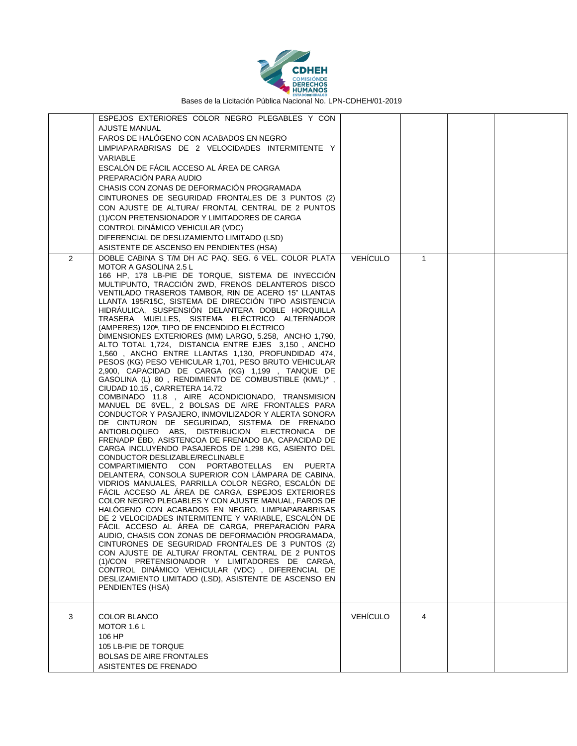

|   | ESPEJOS EXTERIORES COLOR NEGRO PLEGABLES Y CON<br>AJUSTE MANUAL<br>FAROS DE HALÓGENO CON ACABADOS EN NEGRO<br>LIMPIAPARABRISAS DE 2 VELOCIDADES INTERMITENTE Y<br>VARIABLE<br>ESCALÓN DE FÁCIL ACCESO AL ÁREA DE CARGA<br>PREPARACIÓN PARA AUDIO<br>CHASIS CON ZONAS DE DEFORMACIÓN PROGRAMADA<br>CINTURONES DE SEGURIDAD FRONTALES DE 3 PUNTOS (2)<br>CON AJUSTE DE ALTURA/ FRONTAL CENTRAL DE 2 PUNTOS<br>(1)/CON PRETENSIONADOR Y LIMITADORES DE CARGA<br>CONTROL DINAMICO VEHICULAR (VDC)<br>DIFERENCIAL DE DESLIZAMIENTO LIMITADO (LSD)<br>ASISTENTE DE ASCENSO EN PENDIENTES (HSA)                                                                                                                                                                                                                                                                                                                                                                                                                                                                                                                                                                                                                                                                                                                                                                                                                                                                                                                                                                                                                                                                                                                                                                                                                                                                                                                                                                                                                                                                           |                 |              |  |
|---|--------------------------------------------------------------------------------------------------------------------------------------------------------------------------------------------------------------------------------------------------------------------------------------------------------------------------------------------------------------------------------------------------------------------------------------------------------------------------------------------------------------------------------------------------------------------------------------------------------------------------------------------------------------------------------------------------------------------------------------------------------------------------------------------------------------------------------------------------------------------------------------------------------------------------------------------------------------------------------------------------------------------------------------------------------------------------------------------------------------------------------------------------------------------------------------------------------------------------------------------------------------------------------------------------------------------------------------------------------------------------------------------------------------------------------------------------------------------------------------------------------------------------------------------------------------------------------------------------------------------------------------------------------------------------------------------------------------------------------------------------------------------------------------------------------------------------------------------------------------------------------------------------------------------------------------------------------------------------------------------------------------------------------------------------------------------|-----------------|--------------|--|
| 2 | DOBLE CABINA S T/M DH AC PAQ. SEG. 6 VEL. COLOR PLATA<br>MOTOR A GASOLINA 2.5 L<br>166 HP, 178 LB-PIE DE TORQUE, SISTEMA DE INYECCIÓN<br>MULTIPUNTO, TRACCIÓN 2WD, FRENOS DELANTEROS DISCO<br>VENTILADO TRASEROS TAMBOR, RIN DE ACERO 15" LLANTAS<br>LLANTA 195R15C, SISTEMA DE DIRECCION TIPO ASISTENCIA<br>HIDRAULICA, SUSPENSION DELANTERA DOBLE HORQUILLA<br>TRASERA MUELLES, SISTEMA ELECTRICO ALTERNADOR<br>(AMPERES) 120 <sup>a</sup> , TIPO DE ENCENDIDO ELÉCTRICO<br>DIMENSIONES EXTERIORES (MM) LARGO, 5.258, ANCHO 1,790,<br>ALTO TOTAL 1,724, DISTANCIA ENTRE EJES 3,150, ANCHO<br>1,560, ANCHO ENTRE LLANTAS 1,130, PROFUNDIDAD 474,<br>PESOS (KG) PESO VEHICULAR 1,701, PESO BRUTO VEHICULAR<br>2,900, CAPACIDAD DE CARGA (KG) 1,199 , TANQUE DE<br>GASOLINA (L) 80, RENDIMIENTO DE COMBUSTIBLE (KM/L)*,<br>CIUDAD 10.15, CARRETERA 14.72<br>COMBINADO 11.8, AIRE ACONDICIONADO, TRANSMISION<br>MANUEL DE 6VEL., 2 BOLSAS DE AIRE FRONTALES PARA<br>CONDUCTOR Y PASAJERO, INMOVILIZADOR Y ALERTA SONORA<br>DE CINTURON DE SEGURIDAD, SISTEMA DE FRENADO<br>ANTIOBLOQUEO ABS, DISTRIBUCION ELECTRONICA DE<br>FRENADP EBD, ASISTENCOA DE FRENADO BA, CAPACIDAD DE<br>CARGA INCLUYENDO PASAJEROS DE 1,298 KG, ASIENTO DEL<br>CONDUCTOR DESLIZABLE/RECLINABLE<br>COMPARTIMIENTO CON PORTABOTELLAS<br>EN PUERTA<br>DELANTERA, CONSOLA SUPERIOR CON LAMPARA DE CABINA,<br>VIDRIOS MANUALES, PARRILLA COLOR NEGRO, ESCALÓN DE<br>FACIL ACCESO AL AREA DE CARGA, ESPEJOS EXTERIORES<br>COLOR NEGRO PLEGABLES Y CON AJUSTE MANUAL, FAROS DE<br>HALOGENO CON ACABADOS EN NEGRO, LIMPIAPARABRISAS<br>DE 2 VELOCIDADES INTERMITENTE Y VARIABLE, ESCALÓN DE<br>FÁCIL ACCESO AL ÁREA DE CARGA, PREPARACIÓN PARA<br>AUDIO, CHASIS CON ZONAS DE DEFORMACIÓN PROGRAMADA,<br>CINTURONES DE SEGURIDAD FRONTALES DE 3 PUNTOS (2)<br>CON AJUSTE DE ALTURA/ FRONTAL CENTRAL DE 2 PUNTOS<br>(1)/CON PRETENSIONADOR Y LIMITADORES DE CARGA.<br>CONTROL DINAMICO VEHICULAR (VDC), DIFERENCIAL DE<br>DESLIZAMIENTO LIMITADO (LSD), ASISTENTE DE ASCENSO EN<br>PENDIENTES (HSA) | <b>VEHÍCULO</b> | $\mathbf{1}$ |  |
| 3 | <b>COLOR BLANCO</b><br>MOTOR 1.6 L<br>106 HP<br>105 LB-PIE DE TORQUE<br><b>BOLSAS DE AIRE FRONTALES</b><br>ASISTENTES DE FRENADO                                                                                                                                                                                                                                                                                                                                                                                                                                                                                                                                                                                                                                                                                                                                                                                                                                                                                                                                                                                                                                                                                                                                                                                                                                                                                                                                                                                                                                                                                                                                                                                                                                                                                                                                                                                                                                                                                                                                   | <b>VEHÍCULO</b> | 4            |  |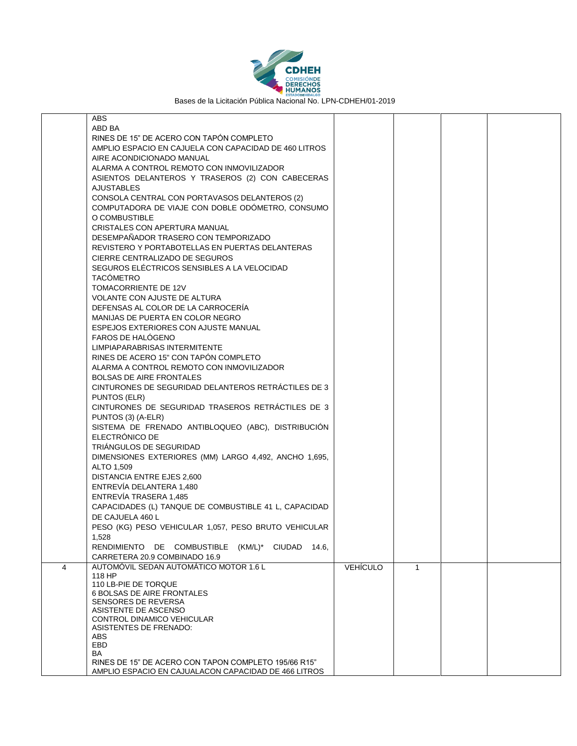

|   | ABS                                                   |                 |              |  |
|---|-------------------------------------------------------|-----------------|--------------|--|
|   | ABD BA                                                |                 |              |  |
|   | RINES DE 15" DE ACERO CON TAPÓN COMPLETO              |                 |              |  |
|   | AMPLIO ESPACIO EN CAJUELA CON CAPACIDAD DE 460 LITROS |                 |              |  |
|   | AIRE ACONDICIONADO MANUAL                             |                 |              |  |
|   |                                                       |                 |              |  |
|   | ALARMA A CONTROL REMOTO CON INMOVILIZADOR             |                 |              |  |
|   | ASIENTOS DELANTEROS Y TRASEROS (2) CON CABECERAS      |                 |              |  |
|   | <b>AJUSTABLES</b>                                     |                 |              |  |
|   | CONSOLA CENTRAL CON PORTAVASOS DELANTEROS (2)         |                 |              |  |
|   | COMPUTADORA DE VIAJE CON DOBLE ODÓMETRO, CONSUMO      |                 |              |  |
|   | O COMBUSTIBLE                                         |                 |              |  |
|   | CRISTALES CON APERTURA MANUAL                         |                 |              |  |
|   | DESEMPAÑADOR TRASERO CON TEMPORIZADO                  |                 |              |  |
|   |                                                       |                 |              |  |
|   | REVISTERO Y PORTABOTELLAS EN PUERTAS DELANTERAS       |                 |              |  |
|   | CIERRE CENTRALIZADO DE SEGUROS                        |                 |              |  |
|   | SEGUROS ELÉCTRICOS SENSIBLES A LA VELOCIDAD           |                 |              |  |
|   | <b>TACÓMETRO</b>                                      |                 |              |  |
|   | TOMACORRIENTE DE 12V                                  |                 |              |  |
|   | VOLANTE CON AJUSTE DE ALTURA                          |                 |              |  |
|   | DEFENSAS AL COLOR DE LA CARROCERÍA                    |                 |              |  |
|   | MANIJAS DE PUERTA EN COLOR NEGRO                      |                 |              |  |
|   | ESPEJOS EXTERIORES CON AJUSTE MANUAL                  |                 |              |  |
|   | <b>FAROS DE HALOGENO</b>                              |                 |              |  |
|   | LIMPIAPARABRISAS INTERMITENTE                         |                 |              |  |
|   | RINES DE ACERO 15" CON TAPÓN COMPLETO                 |                 |              |  |
|   |                                                       |                 |              |  |
|   | ALARMA A CONTROL REMOTO CON INMOVILIZADOR             |                 |              |  |
|   | <b>BOLSAS DE AIRE FRONTALES</b>                       |                 |              |  |
|   | CINTURONES DE SEGURIDAD DELANTEROS RETRÁCTILES DE 3   |                 |              |  |
|   | PUNTOS (ELR)                                          |                 |              |  |
|   | CINTURONES DE SEGURIDAD TRASEROS RETRÁCTILES DE 3     |                 |              |  |
|   | PUNTOS (3) (A-ELR)                                    |                 |              |  |
|   | SISTEMA DE FRENADO ANTIBLOQUEO (ABC), DISTRIBUCIÓN    |                 |              |  |
|   | ELECTRÓNICO DE                                        |                 |              |  |
|   | TRIÁNGULOS DE SEGURIDAD                               |                 |              |  |
|   | DIMENSIONES EXTERIORES (MM) LARGO 4,492, ANCHO 1,695, |                 |              |  |
|   | ALTO 1,509                                            |                 |              |  |
|   | <b>DISTANCIA ENTRE EJES 2,600</b>                     |                 |              |  |
|   |                                                       |                 |              |  |
|   | ENTREVÍA DELANTERA 1,480                              |                 |              |  |
|   | ENTREVÍA TRASERA 1,485                                |                 |              |  |
|   | CAPACIDADES (L) TANQUE DE COMBUSTIBLE 41 L, CAPACIDAD |                 |              |  |
|   | DE CAJUELA 460 L                                      |                 |              |  |
|   | PESO (KG) PESO VEHICULAR 1,057, PESO BRUTO VEHICULAR  |                 |              |  |
|   | 1,528                                                 |                 |              |  |
|   | RENDIMIENTO DE COMBUSTIBLE (KM/L)*<br>CIUDAD 14.6.    |                 |              |  |
|   | CARRETERA 20.9 COMBINADO 16.9                         |                 |              |  |
| 4 | AUTOMÓVIL SEDAN AUTOMÁTICO MOTOR 1.6 L                | <b>VEHÍCULO</b> | $\mathbf{1}$ |  |
|   | 118 HP                                                |                 |              |  |
|   | 110 LB-PIE DE TORQUE                                  |                 |              |  |
|   | <b>6 BOLSAS DE AIRE FRONTALES</b>                     |                 |              |  |
|   | <b>SENSORES DE REVERSA</b>                            |                 |              |  |
|   | ASISTENTE DE ASCENSO                                  |                 |              |  |
|   | CONTROL DINAMICO VEHICULAR                            |                 |              |  |
|   | ASISTENTES DE FRENADO:                                |                 |              |  |
|   | <b>ABS</b>                                            |                 |              |  |
|   | <b>EBD</b>                                            |                 |              |  |
|   | BA                                                    |                 |              |  |
|   | RINES DE 15" DE ACERO CON TAPON COMPLETO 195/66 R15"  |                 |              |  |
|   | AMPLIO ESPACIO EN CAJUALACON CAPACIDAD DE 466 LITROS  |                 |              |  |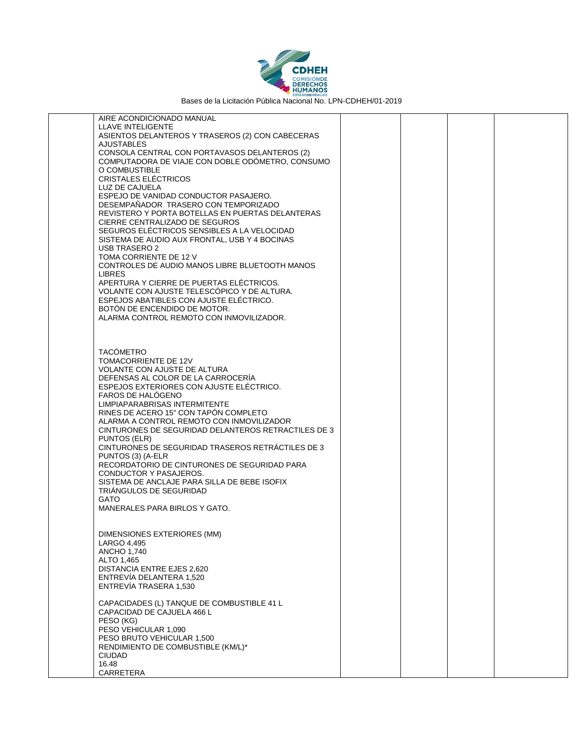

| AIRE ACONDICIONADO MANUAL                                                                         |  |  |
|---------------------------------------------------------------------------------------------------|--|--|
| LLAVE INTELIGENTE<br>ASIENTOS DELANTEROS Y TRASEROS (2) CON CABECERAS                             |  |  |
| <b>AJUSTABLES</b>                                                                                 |  |  |
| CONSOLA CENTRAL CON PORTAVASOS DELANTEROS (2)<br>COMPUTADORA DE VIAJE CON DOBLE ODÓMETRO, CONSUMO |  |  |
| O COMBUSTIBLE                                                                                     |  |  |
| <b>CRISTALES ELECTRICOS</b>                                                                       |  |  |
| LUZ DE CAJUELA<br>ESPEJO DE VANIDAD CONDUCTOR PASAJERO.                                           |  |  |
| DESEMPAÑADOR TRASERO CON TEMPORIZADO                                                              |  |  |
| REVISTERO Y PORTA BOTELLAS EN PUERTAS DELANTERAS                                                  |  |  |
| CIERRE CENTRALIZADO DE SEGUROS<br>SEGUROS ELECTRICOS SENSIBLES A LA VELOCIDAD                     |  |  |
| SISTEMA DE AUDIO AUX FRONTAL, USB Y 4 BOCINAS                                                     |  |  |
| USB TRASERO 2                                                                                     |  |  |
| TOMA CORRIENTE DE 12 V<br>CONTROLES DE AUDIO MANOS LIBRE BLUETOOTH MANOS                          |  |  |
| <b>LIBRES</b>                                                                                     |  |  |
| APERTURA Y CIERRE DE PUERTAS ELÉCTRICOS.                                                          |  |  |
| VOLANTE CON AJUSTE TELESCÓPICO Y DE ALTURA.<br>ESPEJOS ABATIBLES CON AJUSTE ELECTRICO.            |  |  |
| BOTÓN DE ENCENDIDO DE MOTOR.                                                                      |  |  |
| ALARMA CONTROL REMOTO CON INMOVILIZADOR.                                                          |  |  |
|                                                                                                   |  |  |
|                                                                                                   |  |  |
| <b>TACÓMETRO</b><br>TOMACORRIENTE DE 12V                                                          |  |  |
| <b>VOLANTE CON AJUSTE DE ALTURA</b>                                                               |  |  |
| DEFENSAS AL COLOR DE LA CARROCERÍA                                                                |  |  |
| ESPEJOS EXTERIORES CON AJUSTE ELÉCTRICO.<br>FAROS DE HALÓGENO                                     |  |  |
| LIMPIAPARABRISAS INTERMITENTE                                                                     |  |  |
| RINES DE ACERO 15" CON TAPON COMPLETO                                                             |  |  |
| ALARMA A CONTROL REMOTO CON INMOVILIZADOR<br>CINTURONES DE SEGURIDAD DELANTEROS RETRACTILES DE 3  |  |  |
| PUNTOS (ELR)                                                                                      |  |  |
| CINTURONES DE SEGURIDAD TRASEROS RETRÁCTILES DE 3<br>PUNTOS (3) (A-ELR                            |  |  |
| RECORDATORIO DE CINTURONES DE SEGURIDAD PARA                                                      |  |  |
| CONDUCTOR Y PASAJEROS.                                                                            |  |  |
| SISTEMA DE ANCLAJE PARA SILLA DE BEBE ISOFIX<br>TRIANGULOS DE SEGURIDAD                           |  |  |
| <b>GATO</b>                                                                                       |  |  |
| MANERALES PARA BIRLOS Y GATO.                                                                     |  |  |
|                                                                                                   |  |  |
| DIMENSIONES EXTERIORES (MM)                                                                       |  |  |
| LARGO 4,495<br>ANCHO 1,740                                                                        |  |  |
| ALTO 1,465                                                                                        |  |  |
| DISTANCIA ENTRE EJES 2,620                                                                        |  |  |
| ENTREVÍA DELANTERA 1,520<br>ENTREVIA TRASERA 1,530                                                |  |  |
|                                                                                                   |  |  |
| CAPACIDADES (L) TANQUE DE COMBUSTIBLE 41 L                                                        |  |  |
| CAPACIDAD DE CAJUELA 466 L<br>PESO (KG)                                                           |  |  |
| PESO VEHICULAR 1.090                                                                              |  |  |
| PESO BRUTO VEHICULAR 1,500                                                                        |  |  |
| RENDIMIENTO DE COMBUSTIBLE (KM/L)*<br><b>CIUDAD</b>                                               |  |  |
| 16.48                                                                                             |  |  |
| CARRETERA                                                                                         |  |  |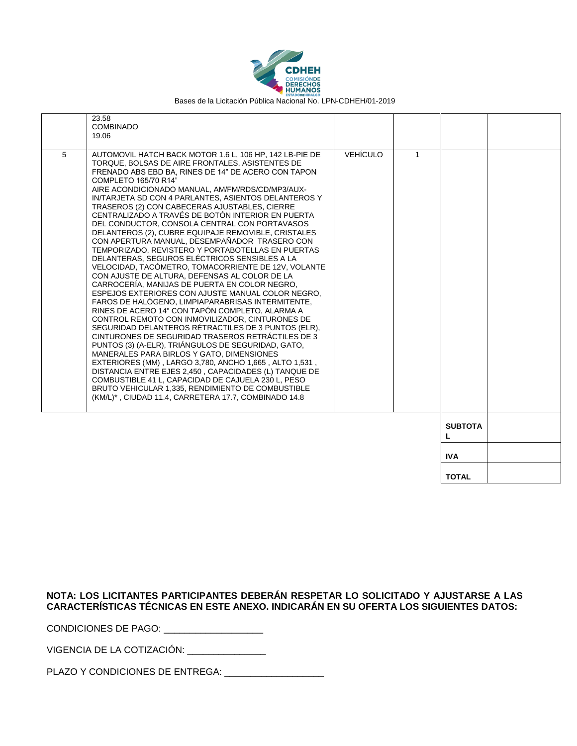

|   | 23.58                                                   |                 |              |                |  |
|---|---------------------------------------------------------|-----------------|--------------|----------------|--|
|   | <b>COMBINADO</b>                                        |                 |              |                |  |
|   | 19.06                                                   |                 |              |                |  |
|   |                                                         |                 |              |                |  |
|   |                                                         |                 |              |                |  |
| 5 | AUTOMOVIL HATCH BACK MOTOR 1.6 L, 106 HP, 142 LB-PIE DE | <b>VEHÍCULO</b> | $\mathbf{1}$ |                |  |
|   | TORQUE, BOLSAS DE AIRE FRONTALES, ASISTENTES DE         |                 |              |                |  |
|   | FRENADO ABS EBD BA. RINES DE 14" DE ACERO CON TAPON     |                 |              |                |  |
|   | COMPLETO 165/70 R14"                                    |                 |              |                |  |
|   | AIRE ACONDICIONADO MANUAL, AM/FM/RDS/CD/MP3/AUX-        |                 |              |                |  |
|   | IN/TARJETA SD CON 4 PARLANTES, ASIENTOS DELANTEROS Y    |                 |              |                |  |
|   | TRASEROS (2) CON CABECERAS AJUSTABLES, CIERRE           |                 |              |                |  |
|   | CENTRALIZADO A TRAVÉS DE BOTÓN INTERIOR EN PUERTA       |                 |              |                |  |
|   |                                                         |                 |              |                |  |
|   | DEL CONDUCTOR, CONSOLA CENTRAL CON PORTAVASOS           |                 |              |                |  |
|   | DELANTEROS (2), CUBRE EQUIPAJE REMOVIBLE, CRISTALES     |                 |              |                |  |
|   | CON APERTURA MANUAL, DESEMPAÑADOR TRASERO CON           |                 |              |                |  |
|   | TEMPORIZADO. REVISTERO Y PORTABOTELLAS EN PUERTAS       |                 |              |                |  |
|   | DELANTERAS. SEGUROS ELÉCTRICOS SENSIBLES A LA           |                 |              |                |  |
|   | VELOCIDAD, TACOMETRO, TOMACORRIENTE DE 12V, VOLANTE     |                 |              |                |  |
|   | CON AJUSTE DE ALTURA, DEFENSAS AL COLOR DE LA           |                 |              |                |  |
|   | CARROCERÍA, MANIJAS DE PUERTA EN COLOR NEGRO,           |                 |              |                |  |
|   | ESPEJOS EXTERIORES CON AJUSTE MANUAL COLOR NEGRO.       |                 |              |                |  |
|   | FAROS DE HALÓGENO, LIMPIAPARABRISAS INTERMITENTE,       |                 |              |                |  |
|   | RINES DE ACERO 14" CON TAPÓN COMPLETO, ALARMA A         |                 |              |                |  |
|   | CONTROL REMOTO CON INMOVILIZADOR, CINTURONES DE         |                 |              |                |  |
|   | SEGURIDAD DELANTEROS RÉTRACTILES DE 3 PUNTOS (ELR).     |                 |              |                |  |
|   |                                                         |                 |              |                |  |
|   | CINTURONES DE SEGURIDAD TRASEROS RETRÁCTILES DE 3       |                 |              |                |  |
|   | PUNTOS (3) (A-ELR), TRIÁNGULOS DE SEGURIDAD, GATO,      |                 |              |                |  |
|   | MANERALES PARA BIRLOS Y GATO, DIMENSIONES               |                 |              |                |  |
|   | EXTERIORES (MM), LARGO 3,780, ANCHO 1,665, ALTO 1,531,  |                 |              |                |  |
|   | DISTANCIA ENTRE EJES 2,450, CAPACIDADES (L) TANQUE DE   |                 |              |                |  |
|   | COMBUSTIBLE 41 L, CAPACIDAD DE CAJUELA 230 L, PESO      |                 |              |                |  |
|   | BRUTO VEHICULAR 1,335, RENDIMIENTO DE COMBUSTIBLE       |                 |              |                |  |
|   | (KM/L)*, CIUDAD 11.4, CARRETERA 17.7, COMBINADO 14.8    |                 |              |                |  |
|   |                                                         |                 |              |                |  |
|   |                                                         |                 |              |                |  |
|   |                                                         |                 |              | <b>SUBTOTA</b> |  |
|   |                                                         |                 |              |                |  |
|   |                                                         |                 |              | L              |  |
|   |                                                         |                 |              |                |  |
|   |                                                         |                 |              | <b>IVA</b>     |  |
|   |                                                         |                 |              |                |  |
|   |                                                         |                 |              |                |  |

**TOTAL**

#### **NOTA: LOS LICITANTES PARTICIPANTES DEBERÁN RESPETAR LO SOLICITADO Y AJUSTARSE A LAS CARACTERÍSTICAS TÉCNICAS EN ESTE ANEXO. INDICARÁN EN SU OFERTA LOS SIGUIENTES DATOS:**

CONDICIONES DE PAGO: \_\_\_\_\_\_\_\_\_\_\_\_\_\_\_\_\_\_\_

VIGENCIA DE LA COTIZACIÓN: \_\_\_\_\_\_\_\_\_\_\_\_\_\_\_

PLAZO Y CONDICIONES DE ENTREGA: \_\_\_\_\_\_\_\_\_\_\_\_\_\_\_\_\_\_\_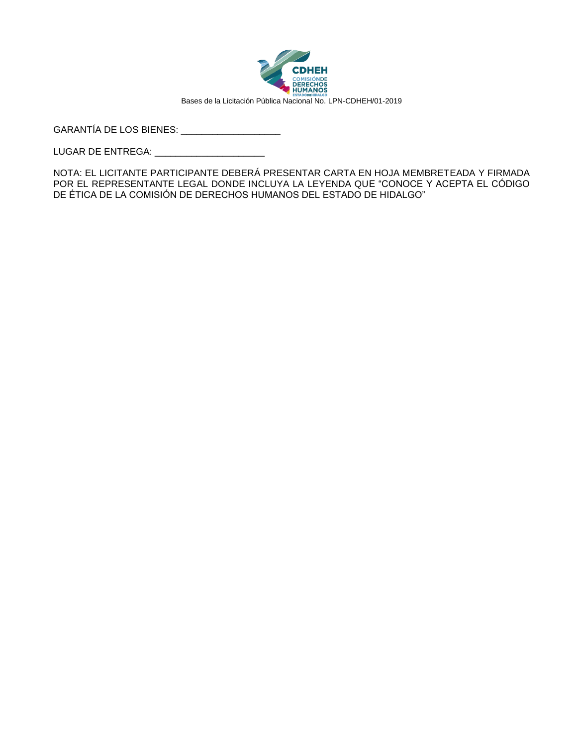

GARANTÍA DE LOS BIENES: \_\_\_\_\_\_\_\_\_\_\_\_\_\_\_\_\_\_\_

LUGAR DE ENTREGA: \_\_\_\_\_\_\_\_\_\_\_\_\_\_\_\_\_\_\_\_\_

NOTA: EL LICITANTE PARTICIPANTE DEBERÁ PRESENTAR CARTA EN HOJA MEMBRETEADA Y FIRMADA POR EL REPRESENTANTE LEGAL DONDE INCLUYA LA LEYENDA QUE "CONOCE Y ACEPTA EL CÓDIGO DE ÉTICA DE LA COMISIÓN DE DERECHOS HUMANOS DEL ESTADO DE HIDALGO"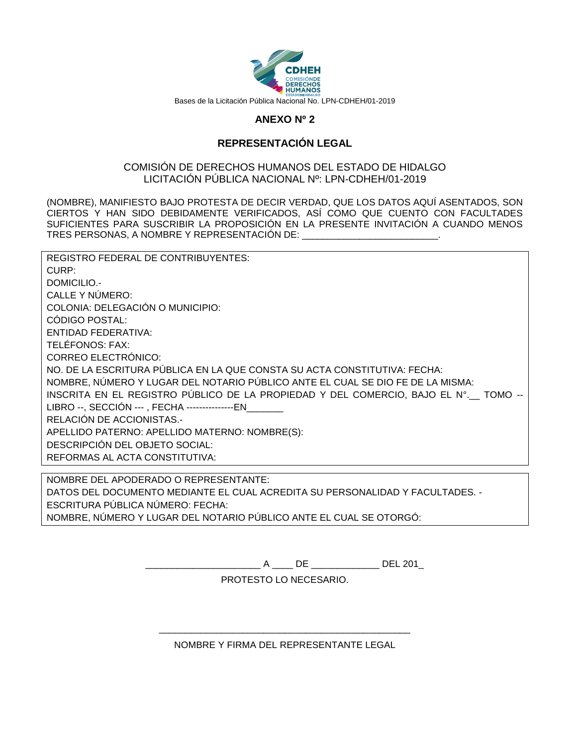

## **ANEXO Nº 2**

### **REPRESENTACIÓN LEGAL**

#### COMISIÓN DE DERECHOS HUMANOS DEL ESTADO DE HIDALGO LICITACIÓN PÚBLICA NACIONAL Nº: LPN-CDHEH/01-2019

(NOMBRE), MANIFIESTO BAJO PROTESTA DE DECIR VERDAD, QUE LOS DATOS AQUÍ ASENTADOS, SON CIERTOS Y HAN SIDO DEBIDAMENTE VERIFICADOS, ASÍ COMO QUE CUENTO CON FACULTADES SUFICIENTES PARA SUSCRIBIR LA PROPOSICIÓN EN LA PRESENTE INVITACIÓN A CUANDO MENOS TRES PERSONAS, A NOMBRE Y REPRESENTACIÓN DE: \_\_\_\_\_\_\_\_\_\_\_\_\_\_\_\_\_\_\_\_\_\_\_\_\_\_.

| REGISTRO FEDERAL DE CONTRIBUYENTES:                                                   |
|---------------------------------------------------------------------------------------|
| CURP:                                                                                 |
| DOMICILIO.-                                                                           |
| CALLE Y NÚMERO:                                                                       |
| COLONIA: DELEGACIÓN O MUNICIPIO:                                                      |
| CÓDIGO POSTAL:                                                                        |
| ENTIDAD FEDERATIVA:                                                                   |
| TELÉFONOS: FAX:                                                                       |
| <b>CORREO ELECTRÓNICO:</b>                                                            |
| NO. DE LA ESCRITURA PÚBLICA EN LA QUE CONSTA SU ACTA CONSTITUTIVA: FECHA:             |
| NOMBRE, NÚMERO Y LUGAR DEL NOTARIO PÚBLICO ANTE EL CUAL SE DIO FE DE LA MISMA:        |
| INSCRITA EN EL REGISTRO PÚBLICO DE LA PROPIEDAD Y DEL COMERCIO, BAJO EL Nº.__ TOMO -- |
| LIBRO --, SECCIÓN ---, FECHA ---------------EN                                        |
| RELACIÓN DE ACCIONISTAS.-                                                             |
| APELLIDO PATERNO: APELLIDO MATERNO: NOMBRE(S):                                        |
| DESCRIPCIÓN DEL OBJETO SOCIAL:                                                        |
| REFORMAS AL ACTA CONSTITUTIVA:                                                        |
|                                                                                       |

NOMBRE DEL APODERADO O REPRESENTANTE: DATOS DEL DOCUMENTO MEDIANTE EL CUAL ACREDITA SU PERSONALIDAD Y FACULTADES. - ESCRITURA PÚBLICA NÚMERO: FECHA: NOMBRE, NÚMERO Y LUGAR DEL NOTARIO PÚBLICO ANTE EL CUAL SE OTORGÓ:

\_\_\_\_\_\_\_\_\_\_\_\_\_\_\_\_\_\_\_\_\_\_ A \_\_\_\_ DE \_\_\_\_\_\_\_\_\_\_\_\_\_ DEL 201\_

PROTESTO LO NECESARIO.

\_\_\_\_\_\_\_\_\_\_\_\_\_\_\_\_\_\_\_\_\_\_\_\_\_\_\_\_\_\_\_\_\_\_\_\_\_\_\_\_\_\_\_\_\_\_\_\_ NOMBRE Y FIRMA DEL REPRESENTANTE LEGAL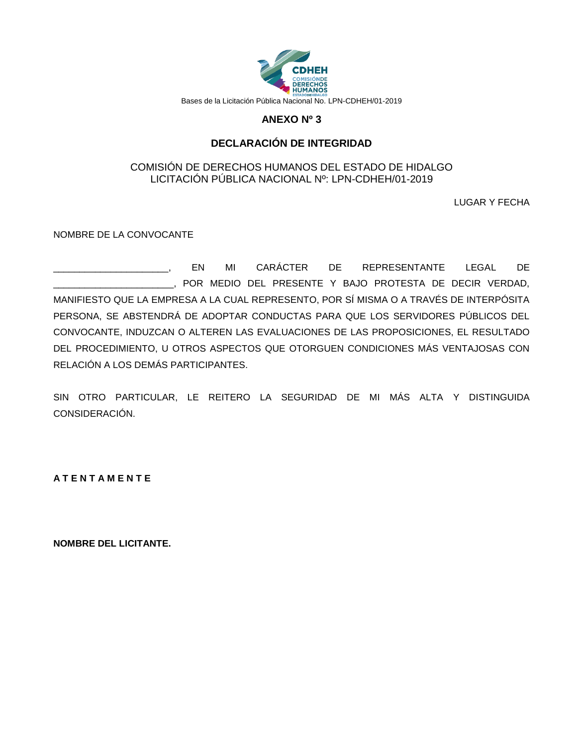

## **ANEXO Nº 3**

## **DECLARACIÓN DE INTEGRIDAD**

#### COMISIÓN DE DERECHOS HUMANOS DEL ESTADO DE HIDALGO LICITACIÓN PÚBLICA NACIONAL Nº: LPN-CDHEH/01-2019

LUGAR Y FECHA

NOMBRE DE LA CONVOCANTE

\_\_\_\_\_\_\_\_\_\_\_\_\_\_\_\_\_\_\_\_\_\_, EN MI CARÁCTER DE REPRESENTANTE LEGAL DE \_\_\_\_\_\_\_\_\_\_\_\_\_\_\_\_\_\_\_\_\_\_\_, POR MEDIO DEL PRESENTE Y BAJO PROTESTA DE DECIR VERDAD, MANIFIESTO QUE LA EMPRESA A LA CUAL REPRESENTO, POR SÍ MISMA O A TRAVÉS DE INTERPÓSITA PERSONA, SE ABSTENDRÁ DE ADOPTAR CONDUCTAS PARA QUE LOS SERVIDORES PÚBLICOS DEL CONVOCANTE, INDUZCAN O ALTEREN LAS EVALUACIONES DE LAS PROPOSICIONES, EL RESULTADO DEL PROCEDIMIENTO, U OTROS ASPECTOS QUE OTORGUEN CONDICIONES MÁS VENTAJOSAS CON RELACIÓN A LOS DEMÁS PARTICIPANTES.

SIN OTRO PARTICULAR, LE REITERO LA SEGURIDAD DE MI MÁS ALTA Y DISTINGUIDA CONSIDERACIÓN.

**A T E N T A M E N T E**

**NOMBRE DEL LICITANTE.**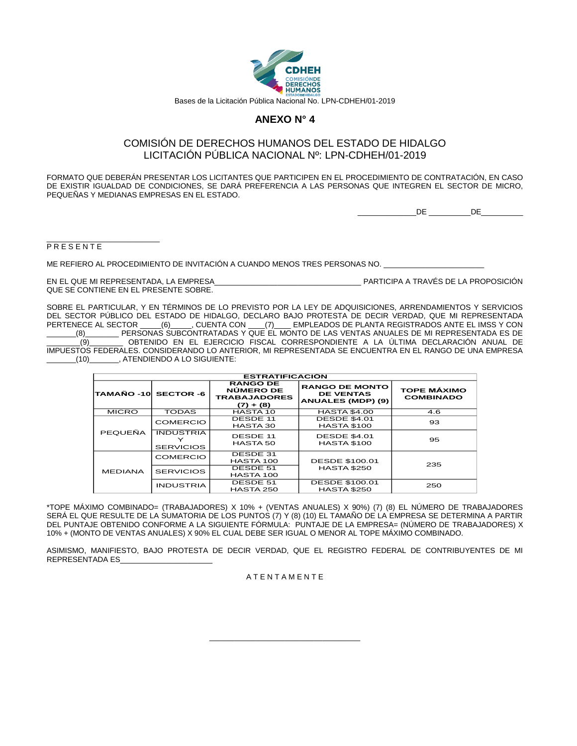

#### **ANEXO N° 4**

#### COMISIÓN DE DERECHOS HUMANOS DEL ESTADO DE HIDALGO LICITACIÓN PÚBLICA NACIONAL Nº: LPN-CDHEH/01-2019

FORMATO QUE DEBERÁN PRESENTAR LOS LICITANTES QUE PARTICIPEN EN EL PROCEDIMIENTO DE CONTRATACIÓN, EN CASO DE EXISTIR IGUALDAD DE CONDICIONES, SE DARÁ PREFERENCIA A LAS PERSONAS QUE INTEGREN EL SECTOR DE MICRO, PEQUEÑAS Y MEDIANAS EMPRESAS EN EL ESTADO.

 $DE$   $DE$ 

#### \_\_\_\_\_\_\_\_\_\_\_\_\_\_\_\_\_\_\_\_\_\_\_\_\_\_\_ **PRESENTE**

ME REFIERO AL PROCEDIMIENTO DE INVITACIÓN A CUANDO MENOS TRES PERSONAS NO.

EN EL QUE MI REPRESENTADA, LA EMPRESA\_\_\_\_\_\_\_\_\_\_\_\_\_\_\_\_\_\_\_\_\_\_\_\_\_\_\_\_\_\_\_\_\_\_\_ PARTICIPA A TRAVÉS DE LA PROPOSICIÓN QUE SE CONTIENE EN EL PRESENTE SOBRE.

SOBRE EL PARTICULAR, Y EN TÉRMINOS DE LO PREVISTO POR LA LEY DE ADQUISICIONES, ARRENDAMIENTOS Y SERVICIOS DEL SECTOR PÚBLICO DEL ESTADO DE HIDALGO, DECLARO BAJO PROTESTA DE DECIR VERDAD, QUE MI REPRESENTADA PERTENECE AL SECTOR \_\_\_\_\_(6)\_\_\_\_\_, CUENTA CON \_\_\_\_(7)\_\_\_\_ EMPLEADOS DE PLANTA REGISTRADOS ANTE EL IMSS Y CON \_\_\_\_\_\_\_(8)\_\_\_\_\_\_\_\_ PERSONAS SUBCONTRATADAS Y QUE EL MONTO DE LAS VENTAS ANUALES DE MI REPRESENTADA ES DE \_\_\_\_\_\_\_\_(9)\_\_\_\_\_\_\_\_ OBTENIDO EN EL EJERCICIO FISCAL CORRESPONDIENTE A LA ÚLTIMA DECLARACIÓN ANUAL DE

IMPUESTOS FEDERALES. CONSIDERANDO LO ANTERIOR, MI REPRESENTADA SE ENCUENTRA EN EL RANGO DE UNA EMPRESA \_\_\_\_\_\_\_(10)\_\_\_\_\_\_\_, ATENDIENDO A LO SIGUIENTE:

| <b>ESTRATIFICACIÓN</b> |                                      |                                                                    |                                                                |                                        |  |
|------------------------|--------------------------------------|--------------------------------------------------------------------|----------------------------------------------------------------|----------------------------------------|--|
| TAMAÑO -10 SECTOR -6   |                                      | <b>RANGO DE</b><br>NÚMERO DE<br><b>TRABAJADORES</b><br>$(7) + (8)$ | <b>RANGO DE MONTO</b><br><b>DE VENTAS</b><br>ANUALES (MDP) (9) | <b>TOPE MÁXIMO</b><br><b>COMBINADO</b> |  |
| <b>MICRO</b>           | <b>TODAS</b>                         | HASTA 10                                                           | <b>HASTA \$4.00</b>                                            | 4.6                                    |  |
|                        | <b>COMERCIO</b>                      | <b>DESDE 11</b><br>HASTA 30                                        | <b>DESDE \$4.01</b><br><b>HASTA \$100</b>                      | 93                                     |  |
| PEQUEÑA                | <b>INDUSTRIA</b><br><b>SERVICIOS</b> | DESDE 11<br><b>HASTA 50</b>                                        | <b>DESDE \$4.01</b><br><b>HASTA \$100</b>                      | 95                                     |  |
|                        | COMERCIO                             | DESDE 31<br>HASTA 100                                              | <b>DESDE \$100.01</b>                                          | 235                                    |  |
| <b>MEDIANA</b>         | <b>SERVICIOS</b>                     | DESDE 51<br>HASTA 100                                              | <b>HASTA \$250</b>                                             |                                        |  |
|                        | <b>INDUSTRIA</b>                     | DESDE 51<br>HASTA 250                                              | <b>DESDE \$100.01</b><br><b>HASTA \$250</b>                    | 250                                    |  |

\*TOPE MÁXIMO COMBINADO= (TRABAJADORES) X 10% + (VENTAS ANUALES) X 90%) (7) (8) EL NÚMERO DE TRABAJADORES SERÁ EL QUE RESULTE DE LA SUMATORIA DE LOS PUNTOS (7) Y (8) (10) EL TAMAÑO DE LA EMPRESA SE DETERMINA A PARTIR DEL PUNTAJE OBTENIDO CONFORME A LA SIGUIENTE FÓRMULA: PUNTAJE DE LA EMPRESA= (NÚMERO DE TRABAJADORES) X 10% + (MONTO DE VENTAS ANUALES) X 90% EL CUAL DEBE SER IGUAL O MENOR AL TOPE MÁXIMO COMBINADO.

ASIMISMO, MANIFIESTO, BAJO PROTESTA DE DECIR VERDAD, QUE EL REGISTRO FEDERAL DE CONTRIBUYENTES DE MI REPRESENTADA ES\_\_\_\_\_\_\_\_\_\_\_\_\_\_\_\_\_\_\_\_\_\_

#### A T E N T A M E N T E

\_\_\_\_\_\_\_\_\_\_\_\_\_\_\_\_\_\_\_\_\_\_\_\_\_\_\_\_\_\_\_\_\_\_\_\_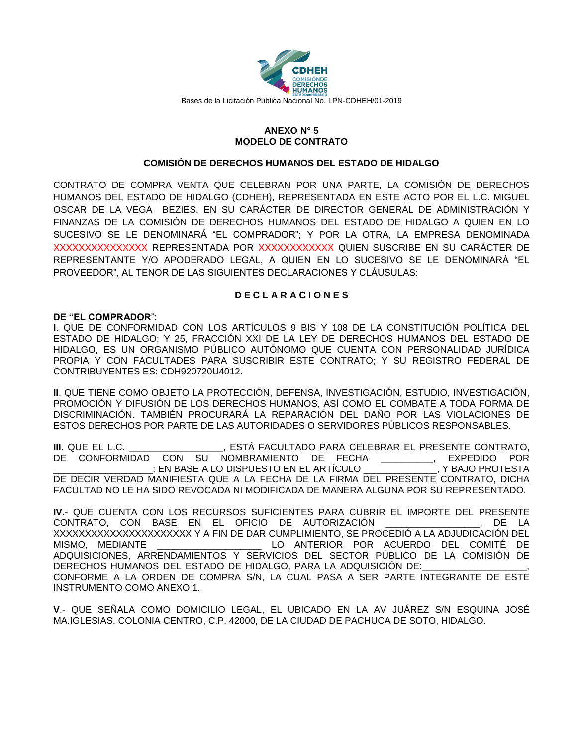

#### **ANEXO N° 5 MODELO DE CONTRATO**

#### **COMISIÓN DE DERECHOS HUMANOS DEL ESTADO DE HIDALGO**

CONTRATO DE COMPRA VENTA QUE CELEBRAN POR UNA PARTE, LA COMISIÓN DE DERECHOS HUMANOS DEL ESTADO DE HIDALGO (CDHEH), REPRESENTADA EN ESTE ACTO POR EL L.C. MIGUEL OSCAR DE LA VEGA BEZIES, EN SU CARÁCTER DE DIRECTOR GENERAL DE ADMINISTRACIÓN Y FINANZAS DE LA COMISIÓN DE DERECHOS HUMANOS DEL ESTADO DE HIDALGO A QUIEN EN LO SUCESIVO SE LE DENOMINARÁ "EL COMPRADOR"; Y POR LA OTRA, LA EMPRESA DENOMINADA XXXXXXXXXXXXXXX REPRESENTADA POR XXXXXXXXXXXX QUIEN SUSCRIBE EN SU CARÁCTER DE REPRESENTANTE Y/O APODERADO LEGAL, A QUIEN EN LO SUCESIVO SE LE DENOMINARÁ "EL PROVEEDOR", AL TENOR DE LAS SIGUIENTES DECLARACIONES Y CLÁUSULAS:

#### **D E C L A R A C I O N E S**

#### **DE "EL COMPRADOR**":

**I**. QUE DE CONFORMIDAD CON LOS ARTÍCULOS 9 BIS Y 108 DE LA CONSTITUCIÓN POLÍTICA DEL ESTADO DE HIDALGO; Y 25, FRACCIÓN XXI DE LA LEY DE DERECHOS HUMANOS DEL ESTADO DE HIDALGO, ES UN ORGANISMO PÚBLICO AUTÓNOMO QUE CUENTA CON PERSONALIDAD JURÍDICA PROPIA Y CON FACULTADES PARA SUSCRIBIR ESTE CONTRATO; Y SU REGISTRO FEDERAL DE CONTRIBUYENTES ES: CDH920720U4012.

**II**. QUE TIENE COMO OBJETO LA PROTECCIÓN, DEFENSA, INVESTIGACIÓN, ESTUDIO, INVESTIGACIÓN, PROMOCIÓN Y DIFUSIÓN DE LOS DERECHOS HUMANOS, ASÍ COMO EL COMBATE A TODA FORMA DE DISCRIMINACIÓN. TAMBIÉN PROCURARÁ LA REPARACIÓN DEL DAÑO POR LAS VIOLACIONES DE ESTOS DERECHOS POR PARTE DE LAS AUTORIDADES O SERVIDORES PÚBLICOS RESPONSABLES.

**III**. QUE EL L.C. \_\_\_\_\_\_\_\_\_\_\_\_\_\_\_\_\_\_, ESTÁ FACULTADO PARA CELEBRAR EL PRESENTE CONTRATO, DE CONFORMIDAD CON SU NOMBRAMIENTO DE FECHA \_\_\_\_\_\_\_\_\_\_, EXPEDIDO POR \_\_\_\_\_\_\_\_\_\_\_\_\_\_\_\_\_\_\_; EN BASE A LO DISPUESTO EN EL ARTÍCULO \_\_\_\_\_\_\_\_\_\_\_\_\_\_, Y BAJO PROTESTA DE DECIR VERDAD MANIFIESTA QUE A LA FECHA DE LA FIRMA DEL PRESENTE CONTRATO, DICHA FACULTAD NO LE HA SIDO REVOCADA NI MODIFICADA DE MANERA ALGUNA POR SU REPRESENTADO.

**IV**.- QUE CUENTA CON LOS RECURSOS SUFICIENTES PARA CUBRIR EL IMPORTE DEL PRESENTE CONTRATO, CON BASE EN EL OFICIO DE AUTORIZACIÓN \_\_\_\_\_\_\_\_\_\_\_\_\_\_\_\_\_\_, DE LA XXXXXXXXXXXXXXXXXXXXXX Y A FIN DE DAR CUMPLIMIENTO, SE PROCEDIÓ A LA ADJUDICACIÓN DEL MISMO, MEDIANTE \_\_\_\_\_\_\_\_\_\_\_\_\_\_\_\_\_\_\_\_ LO ANTERIOR POR ACUERDO DEL COMITÉ DE ADQUISICIONES, ARRENDAMIENTOS Y SERVICIOS DEL SECTOR PÚBLICO DE LA COMISIÓN DE DERECHOS HUMANOS DEL ESTADO DE HIDALGO, PARA LA ADQUISICIÓN DE: CONFORME A LA ORDEN DE COMPRA S/N, LA CUAL PASA A SER PARTE INTEGRANTE DE ESTE INSTRUMENTO COMO ANEXO 1.

**V**.- QUE SEÑALA COMO DOMICILIO LEGAL, EL UBICADO EN LA AV JUÁREZ S/N ESQUINA JOSÉ MA.IGLESIAS, COLONIA CENTRO, C.P. 42000, DE LA CIUDAD DE PACHUCA DE SOTO, HIDALGO.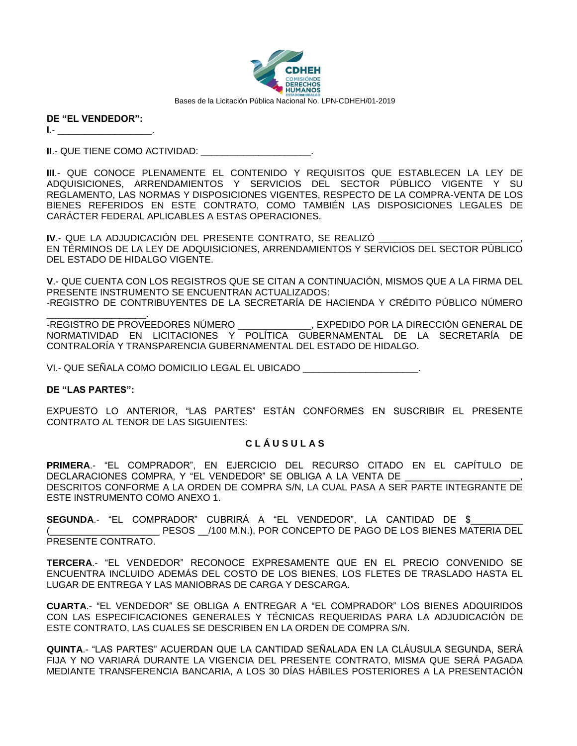

| DE "EL VENDEDOR": |  |
|-------------------|--|
|                   |  |

**II.- QUE TIENE COMO ACTIVIDAD:** 

**III**.- QUE CONOCE PLENAMENTE EL CONTENIDO Y REQUISITOS QUE ESTABLECEN LA LEY DE ADQUISICIONES, ARRENDAMIENTOS Y SERVICIOS DEL SECTOR PÚBLICO VIGENTE Y SU REGLAMENTO, LAS NORMAS Y DISPOSICIONES VIGENTES, RESPECTO DE LA COMPRA-VENTA DE LOS BIENES REFERIDOS EN ESTE CONTRATO, COMO TAMBIÉN LAS DISPOSICIONES LEGALES DE CARÁCTER FEDERAL APLICABLES A ESTAS OPERACIONES.

**IV.- QUE LA ADJUDICACIÓN DEL PRESENTE CONTRATO, SE REALIZÓ** EN TÉRMINOS DE LA LEY DE ADQUISICIONES, ARRENDAMIENTOS Y SERVICIOS DEL SECTOR PÚBLICO DEL ESTADO DE HIDALGO VIGENTE.

**V**.- QUE CUENTA CON LOS REGISTROS QUE SE CITAN A CONTINUACIÓN, MISMOS QUE A LA FIRMA DEL PRESENTE INSTRUMENTO SE ENCUENTRAN ACTUALIZADOS:

-REGISTRO DE CONTRIBUYENTES DE LA SECRETARÍA DE HACIENDA Y CRÉDITO PÚBLICO NÚMERO

-REGISTRO DE PROVEEDORES NÚMERO . EXPEDIDO POR LA DIRECCIÓN GENERAL DE NORMATIVIDAD EN LICITACIONES Y POLÍTICA GUBERNAMENTAL DE LA SECRETARÍA DE CONTRALORÍA Y TRANSPARENCIA GUBERNAMENTAL DEL ESTADO DE HIDALGO.

VI.- QUE SEÑALA COMO DOMICILIO LEGAL EL UBICADO \_\_\_\_\_\_\_\_\_\_\_\_\_\_\_\_\_\_\_\_\_\_.

#### **DE "LAS PARTES":**

EXPUESTO LO ANTERIOR, "LAS PARTES" ESTÁN CONFORMES EN SUSCRIBIR EL PRESENTE CONTRATO AL TENOR DE LAS SIGUIENTES:

#### **C L Á U S U L A S**

**PRIMERA**.- "EL COMPRADOR", EN EJERCICIO DEL RECURSO CITADO EN EL CAPÍTULO DE DECLARACIONES COMPRA, Y "EL VENDEDOR" SE OBLIGA A LA VENTA DE DESCRITOS CONFORME A LA ORDEN DE COMPRA S/N, LA CUAL PASA A SER PARTE INTEGRANTE DE ESTE INSTRUMENTO COMO ANEXO 1.

**SEGUNDA**.- "EL COMPRADOR" CUBRIRÁ A "EL VENDEDOR", LA CANTIDAD DE \$\_\_\_\_\_\_\_\_\_\_ PESOS /100 M.N.), POR CONCEPTO DE PAGO DE LOS BIENES MATERIA DEL PRESENTE CONTRATO.

**TERCERA**.- "EL VENDEDOR" RECONOCE EXPRESAMENTE QUE EN EL PRECIO CONVENIDO SE ENCUENTRA INCLUIDO ADEMÁS DEL COSTO DE LOS BIENES, LOS FLETES DE TRASLADO HASTA EL LUGAR DE ENTREGA Y LAS MANIOBRAS DE CARGA Y DESCARGA.

**CUARTA**.- "EL VENDEDOR" SE OBLIGA A ENTREGAR A "EL COMPRADOR" LOS BIENES ADQUIRIDOS CON LAS ESPECIFICACIONES GENERALES Y TÉCNICAS REQUERIDAS PARA LA ADJUDICACIÓN DE ESTE CONTRATO, LAS CUALES SE DESCRIBEN EN LA ORDEN DE COMPRA S/N.

**QUINTA**.- "LAS PARTES" ACUERDAN QUE LA CANTIDAD SEÑALADA EN LA CLÁUSULA SEGUNDA, SERÁ FIJA Y NO VARIARÁ DURANTE LA VIGENCIA DEL PRESENTE CONTRATO, MISMA QUE SERÁ PAGADA MEDIANTE TRANSFERENCIA BANCARIA, A LOS 30 DÍAS HÁBILES POSTERIORES A LA PRESENTACIÓN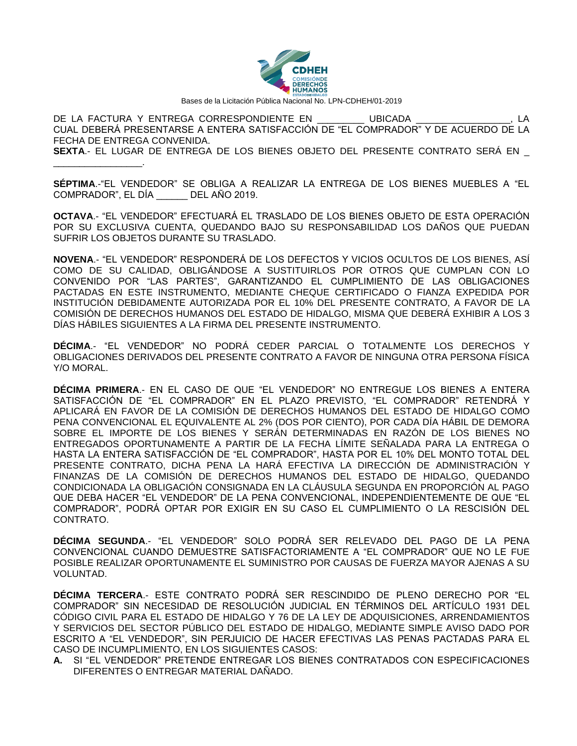

DE LA FACTURA Y ENTREGA CORRESPONDIENTE EN \_\_\_\_\_\_\_\_\_ UBICADA \_\_\_\_\_\_\_\_\_\_\_\_\_\_\_\_\_\_, LA CUAL DEBERÁ PRESENTARSE A ENTERA SATISFACCIÓN DE "EL COMPRADOR" Y DE ACUERDO DE LA FECHA DE ENTREGA CONVENIDA. **SEXTA**.- EL LUGAR DE ENTREGA DE LOS BIENES OBJETO DEL PRESENTE CONTRATO SERÁ EN \_ \_\_\_\_\_\_\_\_\_\_\_\_\_\_\_\_\_.

**SÉPTIMA**.-"EL VENDEDOR" SE OBLIGA A REALIZAR LA ENTREGA DE LOS BIENES MUEBLES A "EL COMPRADOR", EL DÍA \_\_\_\_\_\_ DEL AÑO 2019.

**OCTAVA**.- "EL VENDEDOR" EFECTUARÁ EL TRASLADO DE LOS BIENES OBJETO DE ESTA OPERACIÓN POR SU EXCLUSIVA CUENTA, QUEDANDO BAJO SU RESPONSABILIDAD LOS DAÑOS QUE PUEDAN SUFRIR LOS OBJETOS DURANTE SU TRASLADO.

**NOVENA**.- "EL VENDEDOR" RESPONDERÁ DE LOS DEFECTOS Y VICIOS OCULTOS DE LOS BIENES, ASÍ COMO DE SU CALIDAD, OBLIGÁNDOSE A SUSTITUIRLOS POR OTROS QUE CUMPLAN CON LO CONVENIDO POR "LAS PARTES", GARANTIZANDO EL CUMPLIMIENTO DE LAS OBLIGACIONES PACTADAS EN ESTE INSTRUMENTO, MEDIANTE CHEQUE CERTIFICADO O FIANZA EXPEDIDA POR INSTITUCIÓN DEBIDAMENTE AUTORIZADA POR EL 10% DEL PRESENTE CONTRATO, A FAVOR DE LA COMISIÓN DE DERECHOS HUMANOS DEL ESTADO DE HIDALGO, MISMA QUE DEBERÁ EXHIBIR A LOS 3 DÍAS HÁBILES SIGUIENTES A LA FIRMA DEL PRESENTE INSTRUMENTO.

**DÉCIMA**.- "EL VENDEDOR" NO PODRÁ CEDER PARCIAL O TOTALMENTE LOS DERECHOS Y OBLIGACIONES DERIVADOS DEL PRESENTE CONTRATO A FAVOR DE NINGUNA OTRA PERSONA FÍSICA Y/O MORAL.

**DÉCIMA PRIMERA**.- EN EL CASO DE QUE "EL VENDEDOR" NO ENTREGUE LOS BIENES A ENTERA SATISFACCIÓN DE "EL COMPRADOR" EN EL PLAZO PREVISTO, "EL COMPRADOR" RETENDRÁ Y APLICARÁ EN FAVOR DE LA COMISIÓN DE DERECHOS HUMANOS DEL ESTADO DE HIDALGO COMO PENA CONVENCIONAL EL EQUIVALENTE AL 2% (DOS POR CIENTO), POR CADA DÍA HÁBIL DE DEMORA SOBRE EL IMPORTE DE LOS BIENES Y SERÁN DETERMINADAS EN RAZÓN DE LOS BIENES NO ENTREGADOS OPORTUNAMENTE A PARTIR DE LA FECHA LÍMITE SEÑALADA PARA LA ENTREGA O HASTA LA ENTERA SATISFACCIÓN DE "EL COMPRADOR", HASTA POR EL 10% DEL MONTO TOTAL DEL PRESENTE CONTRATO, DICHA PENA LA HARÁ EFECTIVA LA DIRECCIÓN DE ADMINISTRACIÓN Y FINANZAS DE LA COMISIÓN DE DERECHOS HUMANOS DEL ESTADO DE HIDALGO, QUEDANDO CONDICIONADA LA OBLIGACIÓN CONSIGNADA EN LA CLÁUSULA SEGUNDA EN PROPORCIÓN AL PAGO QUE DEBA HACER "EL VENDEDOR" DE LA PENA CONVENCIONAL, INDEPENDIENTEMENTE DE QUE "EL COMPRADOR", PODRÁ OPTAR POR EXIGIR EN SU CASO EL CUMPLIMIENTO O LA RESCISIÓN DEL CONTRATO.

**DÉCIMA SEGUNDA**.- "EL VENDEDOR" SOLO PODRÁ SER RELEVADO DEL PAGO DE LA PENA CONVENCIONAL CUANDO DEMUESTRE SATISFACTORIAMENTE A "EL COMPRADOR" QUE NO LE FUE POSIBLE REALIZAR OPORTUNAMENTE EL SUMINISTRO POR CAUSAS DE FUERZA MAYOR AJENAS A SU VOLUNTAD.

**DÉCIMA TERCERA**.- ESTE CONTRATO PODRÁ SER RESCINDIDO DE PLENO DERECHO POR "EL COMPRADOR" SIN NECESIDAD DE RESOLUCIÓN JUDICIAL EN TÉRMINOS DEL ARTÍCULO 1931 DEL CÓDIGO CIVIL PARA EL ESTADO DE HIDALGO Y 76 DE LA LEY DE ADQUISICIONES, ARRENDAMIENTOS Y SERVICIOS DEL SECTOR PÚBLICO DEL ESTADO DE HIDALGO, MEDIANTE SIMPLE AVISO DADO POR ESCRITO A "EL VENDEDOR", SIN PERJUICIO DE HACER EFECTIVAS LAS PENAS PACTADAS PARA EL CASO DE INCUMPLIMIENTO, EN LOS SIGUIENTES CASOS:

**A.** SI "EL VENDEDOR" PRETENDE ENTREGAR LOS BIENES CONTRATADOS CON ESPECIFICACIONES DIFERENTES O ENTREGAR MATERIAL DAÑADO.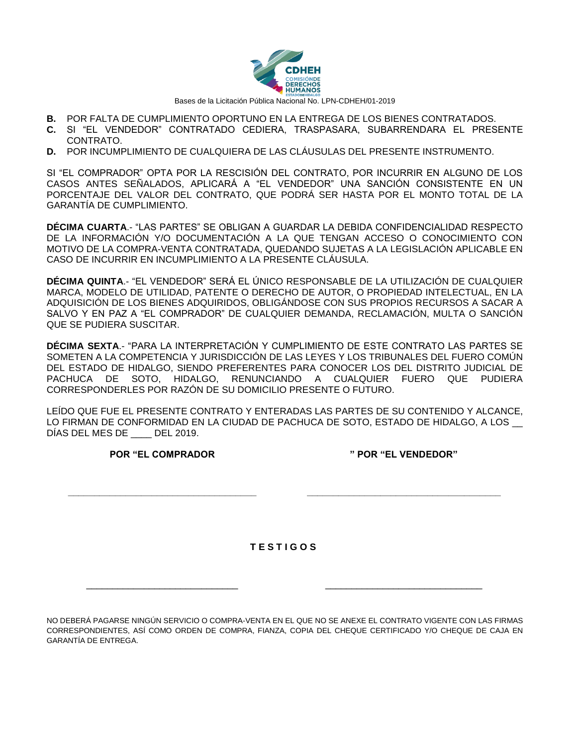

- **B.** POR FALTA DE CUMPLIMIENTO OPORTUNO EN LA ENTREGA DE LOS BIENES CONTRATADOS.
- **C.** SI "EL VENDEDOR" CONTRATADO CEDIERA, TRASPASARA, SUBARRENDARA EL PRESENTE CONTRATO.
- **D.** POR INCUMPLIMIENTO DE CUALQUIERA DE LAS CLÁUSULAS DEL PRESENTE INSTRUMENTO.

SI "EL COMPRADOR" OPTA POR LA RESCISIÓN DEL CONTRATO, POR INCURRIR EN ALGUNO DE LOS CASOS ANTES SEÑALADOS, APLICARÁ A "EL VENDEDOR" UNA SANCIÓN CONSISTENTE EN UN PORCENTAJE DEL VALOR DEL CONTRATO, QUE PODRÁ SER HASTA POR EL MONTO TOTAL DE LA GARANTÍA DE CUMPLIMIENTO.

**DÉCIMA CUARTA**.- "LAS PARTES" SE OBLIGAN A GUARDAR LA DEBIDA CONFIDENCIALIDAD RESPECTO DE LA INFORMACIÓN Y/O DOCUMENTACIÓN A LA QUE TENGAN ACCESO O CONOCIMIENTO CON MOTIVO DE LA COMPRA-VENTA CONTRATADA, QUEDANDO SUJETAS A LA LEGISLACIÓN APLICABLE EN CASO DE INCURRIR EN INCUMPLIMIENTO A LA PRESENTE CLÁUSULA.

**DÉCIMA QUINTA**.- "EL VENDEDOR" SERÁ EL ÚNICO RESPONSABLE DE LA UTILIZACIÓN DE CUALQUIER MARCA, MODELO DE UTILIDAD, PATENTE O DERECHO DE AUTOR, O PROPIEDAD INTELECTUAL, EN LA ADQUISICIÓN DE LOS BIENES ADQUIRIDOS, OBLIGÁNDOSE CON SUS PROPIOS RECURSOS A SACAR A SALVO Y EN PAZ A "EL COMPRADOR" DE CUALQUIER DEMANDA, RECLAMACIÓN, MULTA O SANCIÓN QUE SE PUDIERA SUSCITAR.

**DÉCIMA SEXTA**.- "PARA LA INTERPRETACIÓN Y CUMPLIMIENTO DE ESTE CONTRATO LAS PARTES SE SOMETEN A LA COMPETENCIA Y JURISDICCIÓN DE LAS LEYES Y LOS TRIBUNALES DEL FUERO COMÚN DEL ESTADO DE HIDALGO, SIENDO PREFERENTES PARA CONOCER LOS DEL DISTRITO JUDICIAL DE PACHUCA DE SOTO, HIDALGO, RENUNCIANDO A CUALQUIER FUERO QUE PUDIERA CORRESPONDERLES POR RAZÓN DE SU DOMICILIO PRESENTE O FUTURO.

LEÍDO QUE FUE EL PRESENTE CONTRATO Y ENTERADAS LAS PARTES DE SU CONTENIDO Y ALCANCE, LO FIRMAN DE CONFORMIDAD EN LA CIUDAD DE PACHUCA DE SOTO, ESTADO DE HIDALGO, A LOS DÍAS DEL MES DE \_\_\_\_ DEL 2019.

**POR "EL COMPRADOR**

**\_\_\_\_\_\_\_\_\_\_\_\_\_\_\_\_\_\_\_\_\_\_\_\_\_\_\_\_\_\_\_\_\_\_\_\_**

**" POR "EL VENDEDOR"**

**\_\_\_\_\_\_\_\_\_\_\_\_\_\_\_\_\_\_\_\_\_\_\_\_\_\_\_\_\_\_\_\_\_\_\_\_\_**

**T E S T I G O S**

\_\_\_\_\_\_\_\_\_\_\_\_\_\_\_\_\_\_\_\_\_\_\_\_\_\_\_\_\_ \_\_\_\_\_\_\_\_\_\_\_\_\_\_\_\_\_\_\_\_\_\_\_\_\_\_\_\_\_\_

NO DEBERÁ PAGARSE NINGÚN SERVICIO O COMPRA-VENTA EN EL QUE NO SE ANEXE EL CONTRATO VIGENTE CON LAS FIRMAS CORRESPONDIENTES, ASÍ COMO ORDEN DE COMPRA, FIANZA, COPIA DEL CHEQUE CERTIFICADO Y/O CHEQUE DE CAJA EN GARANTÍA DE ENTREGA.